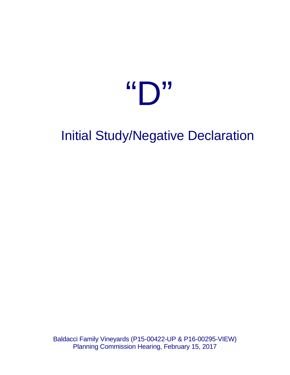# $\mathbf{G} \bigcap \mathbf{M}$

# Initial Study/Negative Declaration

Baldacci Family Vineyards (P15-00422-UP & P16-00295-VIEW) Planning Commission Hearing, February 15, 2017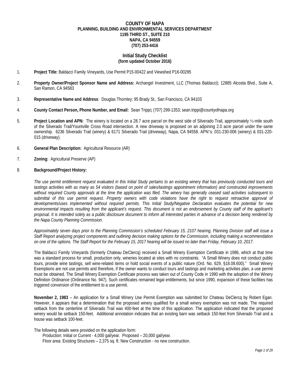### **COUNTY OF NAPA PLANNING, BUILDING AND ENVIRONMENTAL SERVICES DEPARTMENT 1195 THIRD ST., SUITE 210 NAPA, CA 94559 (707) 253-4416**

### **Initial Study Checklist (form updated October 2016)**

- 1. **Project Title:** Baldacci Family Vineyards, Use Permit P15-00422 and Viewshed P16-00295
- 2. **Property Owner/Project Sponsor Name and Address:** Archangel Investment, LLC (Thomas Baldacci); 12885 Alcosta Blvd., Suite A, San Ramon, CA 94583
- 3. **Representative Name and Address**: Douglas Thornley; 95 Brady St., San Francisco, CA 94103
- 4. **County Contact Person, Phone Number, and Email:** Sean Trippi**;** (707) 299-1353; sean.trippi@countyofnapa.org
- 5. **Project Location and APN:** The winery is located on a 28.7 acre parcel on the west side of Silverado Trail, approximately ½-mile south of the Silverado Trail/Yountville Cross Road intersection. A new driveway is proposed on an adjoining 2.0 acre parcel under the same ownership. 6236 Silverado Trail (winery) & 6171 Silverado Trail (driveway), Napa, CA 94558. APN's: 031-230-006 (winery) & 031-220- 015 (driveway).
- 6. **General Plan Description:** Agricultural Resource (AR)
- 7. **Zoning:** Agricultural Preserve (AP)
- 8. **Background/Project History:**

*The use permit entitlement request evaluated in this Initial Study pertains to an existing winery that has previously conducted tours and tastings activities with as many as 54 visitors (based on point of sales/tastings appointment information) and constructed improvements without required County approvals at the time the application was filed. The winery has generally ceased said activities subsequent to submittal of this use permit request. Property owners with code violations have the right to request retroactive approval of developments/uses implemented without required permits. This Initial Study/Negative Declaration evaluates the potential for new environmental impacts resulting from the applicant's request. This document is not an endorsement by County staff of the applicant's proposal. It is intended solely as a public disclosure document to inform all interested parties in advance of a decision being rendered by the Napa County Planning Commission.* 

*Approximately seven days prior to the Planning Commission's scheduled February 15, 2107 hearing, Planning Division staff will issue a Staff Report analyzing project components and outlining decision making options for the Commission, including making a recommendation on one of the options. The Staff Report for the February 15, 2017 hearing will be issued no later than Friday, February 10, 2017.*

The Baldacci Family Vineyards (formerly Chateau DeClercq) received a Small Winery Exemption Certificate in 1986, which at that time was a standard process for small, production only, wineries located at sites with no constraints. "A Small Winery does not conduct public tours, provide wine tastings, sell wine-related items or hold social events of a public nature (Ord. No. 629, §18.08.600)." Small Winery Exemptions are not use permits and therefore, if the owner wants to conduct tours and tastings and marketing activities plan, a use permit must be obtained. The Small Winery Exemption Certificate process was taken out of County Code in 1990 with the adoption of the Winery Definition Ordinance (Ordinance No. 947). Such certificates remained legal entitlements, but since 1990, expansion of these facilities has triggered conversion of the entitlement to a use permit.

**November 2, 1983** – An application for a Small Winery Use Permit Exemption was submitted for Chateau DeClercq by Robert Egan. However, it appears that a determination that the proposed winery qualified for a small winery exemption was not made. The required setback from the centerline of Silverado Trail was 400-feet at the time of this application. The application indicated that the proposed winery would be setback 150-feet. Additional annotation indicates that an existing barn was setback 150-feet from Silverado Trail and a house was setback 100-feet.

The following details were provided on the application form:

Production: Initial or Current - 4,000 gal/year. Proposed – 20,000 gal/year.

Floor area: Existing Structures – 2,375 sq. ft. New Construction - no new construction.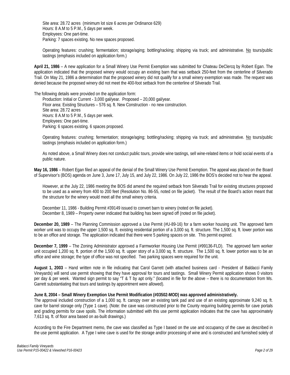Site area: 28.72 acres (minimum lot size 6 acres per Ordinance 629) Hours: 8 A.M to 5 P.M., 5 days per week. Employees: One part-time. Parking: 7 spaces existing. No new spaces proposed.

Operating features: crushing; fermentation; storage/aging; bottling/racking; shipping via truck; and administrative. No tours/public tastings (emphasis included on application form.)

**April 21, 1986** – A new application for a Small Winery Use Permit Exemption was submitted for Chateau DeClercq by Robert Egan. The application indicated that the proposed winery would occupy an existing barn that was setback 250-feet from the centerline of Silverado Trail. On May 21, 1986 a determination that the proposed winery did not qualify for a small winery exemption was made. The request was denied because the proposed winery did not meet the 400-foot setback from the centerline of Silverado Trail.

The following details were provided on the application form:

Production: Initial or Current - 3,000 gal/year. Proposed – 20,000 gal/year. Floor area: Existing Structures – 576 sq. ft. New Construction - no new construction. Site area: 28.72 acres Hours: 8 A.M to 5 P.M., 5 days per week. Employees: One part-time. Parking: 6 spaces existing. 6 spaces proposed.

Operating features: crushing; fermentation; storage/aging; bottling/racking; shipping via truck; and administrative. No tours/public tastings (emphasis included on application form.)

As noted above, a Small Winery does not conduct public tours, provide wine tastings, sell wine-related items or hold social events of a public nature.

**May 16, 1986** – Robert Egan filed an appeal of the denial of the Small Winery Use Permit Exemption. The appeal was placed on the Board of Supervisor's (BOS) agenda on June 3, June 17, July 15, and July 22, 1986. On July 22, 1986 the BOS's decided not to hear the appeal.

However, at the July 22, 1986 meeting the BOS did amend the required setback from Silverado Trail for existing structures proposed to be used as a winery from 400 to 200 feet (Resolution No. 86-55, noted on file jacket). The result of the Board's action meant that the structure for the winery would meet all the small winery criteria.

December 11, 1986 - Building Permit #39149 issued to convert barn to winery (noted on file jacket). December 8, 1989 – Property owner indicated that building has been signed off (noted on file jacket).

**December 20, 1989** – The Planning Commission approved a Use Permit (#U-89-16) for a farm worker housing unit. The approved farm worker unit was to occupy the upper 1,500 sq. ft. existing residential portion of a 3,000 sq. ft. structure. The 1,500 sq. ft. lower portion was to be an office and storage. The application indicated that there were 5 parking spaces on site. This permit expired.

**December 7, 1999** – The Zoning Administrator approved a Farmworker Housing Use Permit (#99136-FLD). The approved farm worker unit occupied 1,200 sq. ft. portion of the 1,500 sq. ft. upper story of a 3,000 sq. ft. structure. The 1,500 sq. ft. lower portion was to be an office and wine storage; the type of office was not specified. Two parking spaces were required for the unit.

**August 1, 2003** – Hand written note in file indicating that Carol Garrett (with attached business card - President of Baldacci Family Vineyards) will send use permit showing that they have approval for tours and tastings. Small Winery Permit application shows 0 visitors per day & per week. Wanted sign permit to say "T & T by apt only." (located in file for the above – there is no documentation from Ms. Garrett substantiating that tours and tastings by appointment were allowed).

### **June 8, 2004 – Small Winery Exemption Use Permit Modification (#03502-MOD) was approved administratively.**

The approval included construction of a 1,000 sq. ft. canopy over an existing tank pad and use of an existing approximate 9,240 sq. ft. cave for barrel storage only (Type 1 cave). (Note: the cave was constructed prior to the County requiring building permits for cave portals and grading permits for cave spoils. The information submitted with this use permit application indicates that the cave has approximately 7,613 sq. ft. of floor area based on as-built drawings.)

According to the Fire Department memo, the cave was classified as Type I based on the use and occupancy of the cave as described in the use permit application. A Type I wine cave is used for the storage and/or processing of wine and is constructed and furnished solely of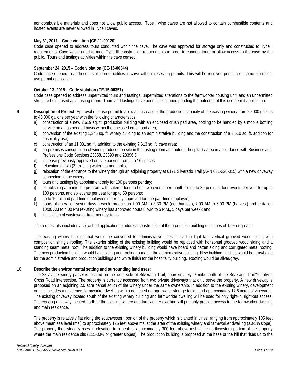non-combustible materials and does not allow public access. Type I wine caves are not allowed to contain combustible contents and hosted events are never allowed in Type I caves.

### **May 31, 2011 – Code violation (CE-11-00120)**

Code case opened to address tours conducted within the cave. The cave was approved for storage only and constructed to Type I requirements. Cave would need to meet Type III construction requirements in order to conduct tours or allow access to the cave by the public.Tours and tastings activities within the cave ceased.

### **September 24, 2015 – Code violation (CE-15-00344)**

Code case opened to address installation of utilities in cave without receiving permits. This will be resolved pending outcome of subject use permit application.

### **October 13, 2015 – Code violation (CE-15-00357)**

Code case opened to address unpermitted tours and tastings, unpermitted alterations to the farmworker housing unit, and an unpermitted structure being used as a tasting room. Tours and tastings have been discontinued pending the outcome of this use permit application.

- 9. **Description of Project:** Approval of a use permit to allow an increase of the production capacity of the existing winery from 20,000 gallons to 40,000 gallons per year with the following characteristics:
	- a) construction of a new 2,619 sq. ft. production building with an enclosed crush pad area, bottling to be handled by a mobile bottling service on an as needed basis within the enclosed crush pad area;
	- b) conversion of the existing 1,345 sq. ft. winery building to an administrative building and the construction of a 3,510 sq. ft. addition for hospitality use;
	- c) construction of an 11,031 sq. ft. addition to the existing 7,613 sq. ft. cave area;
	- d) on-premises consumption of wines produced on site in the tasting room and outdoor hospitality area in accordance with Business and Professions Code Sections 23358, 23390 and 23396.5;
	- e) increase previously approved on-site parking from 6 to 16 spaces;
	- f) relocation of two (2) existing water storage tanks;
	- g) relocation of the entrance to the winery through an adjoining property at 6171 Silverado Trail (APN 031-220-015) with a new driveway connection to the winery;
	- h) tours and tastings by appointment only for 100 persons per day;
	- i) establishing a marketing program with catered food to host two events per month for up to 30 persons, four events per year for up to 100 persons, and six events per year for up to 50 persons;
	- j) up to 10 full and part time employees (currently approved for one part-time employee);
	- k) hours of operation seven days a week: production 7:00 AM to 3:30 PM (non-harvest), 7:00 AM to 6:00 PM (harvest) and visitation 10:00 AM to 4:00 PM (existing winery has approved hours 8 A.M to 5 P.M., 5 days per week); and
	- l) installation of wastewater treatment systems.

The request also includes a viewshed application to address construction of the production building on slopes of 15% or greater.

The existing winery building that would be converted to administrative uses is clad in light tan, vertical grooved wood siding with composition shingle roofing. The exterior siding of the existing building would be replaced with horizontal grooved wood siding and a standing seam metal roof. The addition to the existing winery building would have board and batten siding and corrugated metal roofing. The new production building would have siding and roofing to match the administrative building. New building finishes would be gray/beige for the administrative and production buildings and white finish for the hospitality building. Roofing would be silver/gray.

### 10. **Describe the environmental setting and surrounding land uses:**

The 28.7 acre winery parcel is located on the west side of Silverado Trail, approximately ½-mile south of the Silverado Trail/Yountville Cross Road intersection. The property is currently accessed from two private driveways that only serve the property. A new driveway is proposed on an adjoining 2.0 acre parcel south of the winery under the same ownership. In addition to the existing winery, development on-site includes a residence, farmworker dwelling with a detached garage, water storage tanks, and approximately 17.6 acres of vineyards. The existing driveway located south of the existing winery building and farmworker dwelling will be used for only right-in, right-out access. The existing driveway located north of the existing winery and farmworker dwelling will primarily provide access to the farmworker dwelling and main residence.

The property is relatively flat along the southwestern portion of the property which is planted in vines, ranging from approximately 105 feet above mean sea level (msl) to approximately 125 feet above msl at the area of the existing winery and farmworker dwelling  $(\pm 0.5\%$  slope). The property then steadily rises in elevation to a peak of approximately 300 feet above msl at the northwestern portion of the property where the main residence sits  $(\pm 15-30\%$  or greater slopes). The production building is proposed at the base of the hill that rises up to the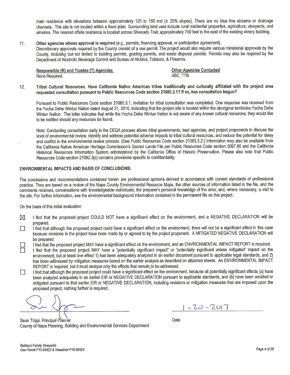main residence with elevations between approximately 120 to 150 msl (± 20% slopes). There are no blue line streams or drainage channels. The site is not located within a flood plain. Surrounding land uses include rural residential properties, agriculture, vineyards, and wineries. The nearest offsite residence is located across Silverado Trail, approximately 750 feet to the east of the existing winery building.

### Other agencies whose approval is required (e.g., permits, financing approval, or participation agreement). 11.

Discretionary approvals required by the County consist of a use permit. The project would also require various ministerial approvals by the County, including but not limited to building permits, grading permits, and waste disposal permits. Permits may also be required by the Department of Alcoholic Beverage Control and Bureau of Alcohol, Tobacco, & Firearms.

Responsible (R) and Trustee (T) Agencies None Required.

**Other Agencies Contacted** ABC. TTB

Tribal Cultural Resources. Have California Native American tribes traditionally and culturally affiliated with the project area  $12.$ requested consultation pursuant to Public Resources Code section 21080.3.1? If so, has consultation begun?

Pursuant to Public Resources Code section 21080.3.1, invitation for tribal consultation was completed. One response was received from the Yocha Dehe Wintun Nation dated August 21, 2016, indicating that the project site is located within the aboriginal territories Yocha Dehe Wintun Nation. The letter indicates that while the Yocha Dehe Wintun Nation is not aware of any known cultural resources, they would like to be notified should any resources be found.

Note: Conducting consultation early in the CEQA process allows tribal governments, lead agencies, and project proponents to discuss the level of environmental review, identify and address potential adverse impacts to tribal cultural resources, and reduce the potential for delay and conflict in the environmental review process. (See Public Resources Code section 21083.3.2.) Information may also be available from the California Native American Heritage Commission's Sacred Lands File per Public Resources Code section 5097.96 and the California Historical Resources Information System administered by the California Office of Historic Preservation. Please also note that Public Resources Code section 21082.3(c) contains provisions specific to confidentiality.

### **ENVIRONMENTAL IMPACTS AND BASIS OF CONCLUSIONS:**

The conclusions and recommendations contained herein are professional opinions derived in accordance with current standards of professional practice. They are based on a review of the Napa County Environmental Resource Maps, the other sources of information listed in the file, and the comments received, conversations with knowledgeable individuals; the preparer's personal knowledge of the area; and, where necessary, a visit to the site. For further information, see the environmental background information contained in the permanent file on this project.

On the basis of this initial evaluation:

- I find that the proposed project COULD NOT have a significant effect on the environment, and a NEGATIVE DECLARATION will be ⊠ prepared.
- I find that although the proposed project could have a significant effect on the environment, there will not be a significant effect in this case П because revisions in the project have been made by or agreed to by the project proponent. A MITIGATED NEGATIVE DECLARATION will be prepared.

I find that the proposed project MAY have a significant effect on the environment, and an ENVIRONMENTAL IMPACT REPORT is required.

- I find that the proposed project MAY have a "potentially significant impact" or "potentially significant unless mitigated" impact on the environment, but at least one effect 1) has been adequately analyzed in an earlier document pursuant to applicable legal standards, and 2) has been addressed by mitigation measures based on the earlier analysis as described on attached sheets. An ENVIRONMENTAL IMPACT REPORT is required, but it must analyze only the effects that remain to be addressed.
- I find that although the proposed project could have a significant effect on the environment, because all potentially significant effects (a) have  $\Box$ been analyzed adequately in an earlier EIR or NEGATIVE DECLARATION pursuant to applicable standards, and (b) have been avoided or mitigated pursuant to that earlier EIR or NEGATIVE DECLARATION, including revisions or mitigation measures that are imposed upon the proposed project, nothing further is required.

 $1 - 20 - 2017$ 

Sean Trippi, Principal Planner County of Napa Planning, Building and Environmental Services Department

Date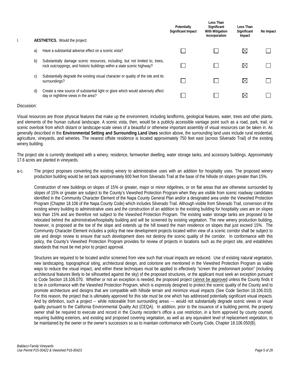| I. |    | <b>AESTHETICS.</b> Would the project:                                                                                                                    | Potentially<br>Significant Impact | Less Than<br>Significant<br><b>With Mitigation</b><br>Incorporation | Less Than<br>Significant<br>Impact | No Impact |
|----|----|----------------------------------------------------------------------------------------------------------------------------------------------------------|-----------------------------------|---------------------------------------------------------------------|------------------------------------|-----------|
|    | a) | Have a substantial adverse effect on a scenic vista?                                                                                                     |                                   |                                                                     | $\boxtimes$                        |           |
|    | b) | Substantially damage scenic resources, including, but not limited to, trees,<br>rock outcroppings, and historic buildings within a state scenic highway? |                                   |                                                                     | $\boxtimes$                        |           |
|    | C) | Substantially degrade the existing visual character or quality of the site and its<br>surroundings?                                                      |                                   |                                                                     | $\boxtimes$                        |           |
|    | d) | Create a new source of substantial light or glare which would adversely affect<br>day or nighttime views in the area?                                    |                                   |                                                                     | M                                  |           |

Visual resources are those physical features that make up the environment, including landforms, geological features, water, trees and other plants, and elements of the human cultural landscape. A scenic vista, then, would be a publicly accessible vantage point such as a road, park, trail, or scenic overlook from which distant or landscape-scale views of a beautiful or otherwise important assembly of visual resources can be taken in. As generally described in the **Environmental Setting and Surrounding Land Uses** section above, the surrounding land uses include rural residential, agriculture, vineyards, and wineries. The nearest offsite residence is located approximately 750 feet east (across Silverado Trail) of the existing winery building.

The project site is currently developed with a winery, residence, farmworker dwelling, water storage tanks, and accessory buildings. Approximately 17.6 acres are planted in vineyards.

a-c. The project proposes converting the existing winery to administrative uses with an addition for hospitality uses. The proposed winery production building would be set back approximately 600 feet from Silverado Trail at the base of the hillside on slopes greater than 15%.

Construction of new buildings on slopes of 15% or greater, major or minor ridgelines, or on flat areas that are otherwise surrounded by slopes of 15% or greater are subject to the County's Viewshed Protection Program when they are visible from scenic roadway candidates identified in the Community Character Element of the Napa County General Plan and/or a designated area under the Viewshed Protection Program (Chapter 18.106 of the Napa County Code) which includes Silverado Trail. Although visible from Silverado Trail, conversion of the existing winery building to administrative uses and the construction of an addition to the existing building for hospitality uses are on slopes less than 15% and are therefore not subject to the Viewshed Protection Program. The existing water storage tanks are proposed to be relocated behind the administrative/hospitality building and will be screened by existing vegetation. The new winery production building, however, is proposed at the toe of the slope and extends up the hill toward the main residence on slopes that just exceed 15%. The Community Character Element includes a policy that new development projects located within view of a scenic corridor shall be subject to site and design review to ensure that such development does not destroy the scenic quality of the corridor. In conformance with this policy, the County's Viewshed Protection Program provides for review of projects in locations such as the project site, and establishes standards that must be met prior to project approval.

Structures are required to be located and/or screened from view such that visual impacts are reduced. Use of existing natural vegetation, new landscaping, topographical siting, architectural design, and colortone are mentioned in the Viewshed Protection Program as viable ways to reduce the visual impact, and either these techniques must be applied to effectively "screen the predominant portion" (including architectural features likely to be silhouetted against the sky) of the proposed structures, or the applicant must seek an exception pursuant to Code Section 18.106.070. Whether or not an exception is needed, the proposed project cannot be approved unless the County finds it to be in conformance with the Viewshed Protection Program, which is expressly designed to protect the scenic quality of the County and to promote architecture and designs that are compatible with hillside terrain and minimize visual impacts (See Code Section 18.106.010). For this reason, the project that is ultimately approved for this site must be one which has addressed potentially significant visual impacts. And by definition, such a project -- while noticeable from surrounding areas --- would not substantially degrade scenic views or visual quality pursuant to the California Environmental Quality Act (CEQA). In addition, prior to the issuance of a building permit, the property owner shall be required to execute and record in the County recorder's office a use restriction, in a form approved by county counsel, requiring building exteriors, and existing and proposed covering vegetation, as well as any equivalent level of replacement vegetation, to be maintained by the owner or the owner's successors so as to maintain conformance with County Code, Chapter 18.106.050(B).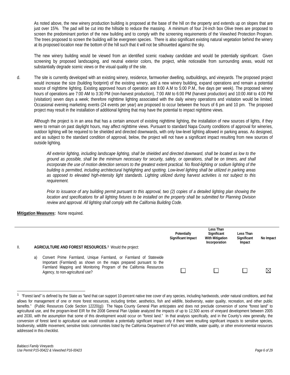As noted above, the new winery production building is proposed at the base of the hill on the property and extends up on slopes that are just over 15%. The pad will be cut into the hillside to reduce the massing. A minimum of four 24-inch box Olive trees are proposed to screen the predominant portion of the new building and to comply with the screening requirements of the Viewshed Protection Program. The trees proposed to screen the building will be evergreen species. There is also significant existing natural vegetation behind the winery at its proposed location near the bottom of the hill such that it will not be silhouetted against the sky.

The new winery building would be viewed from an identified scenic roadway candidate and would be potentially significant. Given screening by proposed landscaping, and neutral exterior colors, the project, while noticeable from surrounding areas, would not substantially degrade scenic views or the visual quality of the site.

d. The site is currently developed with an existing winery, residence, farmworker dwelling, outbuildings, and vineyards. The proposed project would increase the size (building footprint) of the existing winery, add a new winery building, expand operations and remain a potential source of nighttime lighting. Existing approved hours of operation are 8:00 A.M to 5:00 P.M., five days per week). The proposed winery hours of operations are 7:00 AM to 3:30 PM (non-harvest production), 7:00 AM to 6:00 PM (harvest production) and 10:00 AM to 4:00 PM (visitation) seven days a week; therefore nighttime lighting associated with the daily winery operations and visitation would be limited. Occasional evening marketing events (24 events per year) are proposed to occur between the hours of 6 pm and 10 pm. The proposed project may result in the installation of additional lighting that may have the potential to impact nighttime views.

Although the project is in an area that has a certain amount of existing nighttime lighting, the installation of new sources of lights, if they were to remain on past daylight hours, may affect nighttime views. Pursuant to standard Napa County conditions of approval for wineries, outdoor lighting will be required to be shielded and directed downwards, with only low-level lighting allowed in parking areas. As designed, and as subject to the standard condition of approval, below, the project will not have a significant impact resulting from new sources of outside lighting.

*All exterior lighting, including landscape lighting, shall be shielded and directed downward, shall be located as low to the ground as possible, shall be the minimum necessary for security, safety, or operations, shall be on timers, and shall incorporate the use of motion detection sensors to the greatest extent practical. No flood-lighting or sodium lighting of the building is permitted, including architectural highlighting and spotting. Low-level lighting shall be utilized in parking areas as opposed to elevated high-intensity light standards. Lighting utilized during harvest activities is not subject to this requirement.* 

*Prior to issuance of any building permit pursuant to this approval, two (2) copies of a detailed lighting plan showing the location and specifications for all lighting fixtures to be installed on the property shall be submitted for Planning Division review and approval. All lighting shall comply with the California Building Code.* 

|    |                                                                                                                                                                                                                                                          | Potentially<br>Significant Impact | Less Than<br>Significant<br><b>With Mitigation</b><br>Incorporation | Less Than<br>Significant<br>Impact | No Impact |
|----|----------------------------------------------------------------------------------------------------------------------------------------------------------------------------------------------------------------------------------------------------------|-----------------------------------|---------------------------------------------------------------------|------------------------------------|-----------|
| Ш. | AGRICULTURE AND FOREST RESOURCES. <sup>1</sup> Would the project:                                                                                                                                                                                        |                                   |                                                                     |                                    |           |
|    | Convert Prime Farmland, Unique Farmland, or Farmland of Statewide<br>a)<br>Important (Farmland) as shown on the maps prepared pursuant to the<br>Farmland Mapping and Monitoring Program of the California Resources<br>Agency, to non-agricultural use? |                                   |                                                                     |                                    | ⋉         |

<span id="page-6-0"></span> $\mathbf 1$ <sup>1</sup> "Forest land" is defined by the State as "land that can support 10-percent native tree cover of any species, including hardwoods, under natural conditions, and that allows for management of one or more forest resources, including timber, aesthetics, fish and wildlife, biodiversity, water quality, recreation, and other public benefits." (Public Resources Code Section 12220(g)) The Napa County General Plan anticipates and does not preclude conversion of some "forest land" to agricultural use, and the program-level EIR for the 2008 General Plan Update analyzed the impacts of up to 12,500 acres of vineyard development between 2005 and 2030, with the assumption that some of this development would occur on "forest land." In that analysis specifically, and in the County's view generally, the conversion of forest land to agricultural use would constitute a potentially significant impact only if there were resulting significant impacts to sensitive species, biodiversity, wildlife movement, sensitive biotic communities listed by the California Department of Fish and Wildlife, water quality, or other environmental resources addressed in this checklist.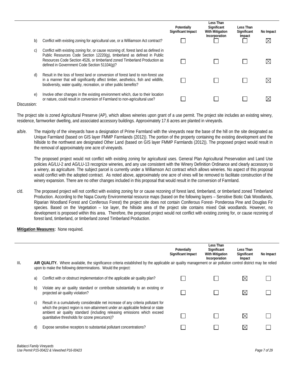| b)            | Conflict with existing zoning for agricultural use, or a Williamson Act contract?                                                                                                                                                                                                          | Potentially<br><b>Significant Impact</b> | Less Than<br>Significant<br>With Mitigation<br>Incorporation | Less Than<br>Significant<br>Impact | No Impact<br>⋉ |
|---------------|--------------------------------------------------------------------------------------------------------------------------------------------------------------------------------------------------------------------------------------------------------------------------------------------|------------------------------------------|--------------------------------------------------------------|------------------------------------|----------------|
| C)            | Conflict with existing zoning for, or cause rezoning of, forest land as defined in<br>Public Resources Code Section 12220(q), timberland as defined in Public<br>Resources Code Section 4526, or timberland zoned Timberland Production as<br>defined in Government Code Section 51104(g)? |                                          |                                                              |                                    |                |
| d)            | Result in the loss of forest land or conversion of forest land to non-forest use<br>in a manner that will significantly affect timber, aesthetics, fish and wildlife,<br>biodiversity, water quality, recreation, or other public benefits?                                                |                                          |                                                              |                                    |                |
| e)<br>iccion: | Involve other changes in the existing environment which, due to their location<br>or nature, could result in conversion of Farmland to non-agricultural use?                                                                                                                               |                                          |                                                              |                                    |                |

The project site is zoned Agricultural Preserve (AP), which allows wineries upon grant of a use permit. The project site includes an existing winery, residence, farmworker dwelling, and associated accessory buildings. Approximately 17.6 acres are planted in vineyards.

a/b/e. The majority of the vineyards have a designation of Prime Farmland with the vineyards near the base of the hill on the site designated as Unique Farmland (based on GIS layer FMMP Farmlands (2012)). The portion of the property containing the existing development and the hillside to the northwest are designated Other Land (based on GIS layer FMMP Farmlands (2012)). The proposed project would result in the removal of approximately one acre of vineyards.

The proposed project would not conflict with existing zoning for agricultural uses. General Plan Agricultural Preservation and Land Use policies AG/LU-2 and AG/LU-13 recognize wineries, and any use consistent with the Winery Definition Ordinance and clearly accessory to a winery, as agriculture. The subject parcel is currently under a Williamson Act contract which allows wineries. No aspect of this proposal would conflict with the adopted contract. As noted above, approximately one acre of vines will be removed to facilitate construction of the winery expansion. There are no other changes included in this proposal that would result in the conversion of Farmland.

c/d. The proposed project will not conflict with existing zoning for or cause rezoning of forest land, timberland, or timberland zoned Timberland Production. According to the Napa County Environmental resource maps (based on the following layers – Sensitive Biotic Oak Woodlands, Riparian Woodland Forest and Coniferous Forest) the project site does not contain Coniferous Forest- Ponderosa Pine and Douglas Fir species. Based on the Vegetation – Ice layer, the hillside area of the project site contains mixed Oak woodlands. However, no development is proposed within this area. Therefore, the proposed project would not conflict with existing zoning for, or cause rezoning of forest land, timberland, or timberland zoned Timberland Production.

|      |    |                                                                                                                                                                                                                                                 | Potentially<br>Significant Impact | Less Than<br>Significant<br><b>With Mitigation</b><br>Incorporation | Less Than<br>Significant<br>Impact | No Impact |
|------|----|-------------------------------------------------------------------------------------------------------------------------------------------------------------------------------------------------------------------------------------------------|-----------------------------------|---------------------------------------------------------------------|------------------------------------|-----------|
| III. |    | AIR QUALITY. Where available, the significance criteria established by the applicable air quality management or air pollution control district may be relied<br>upon to make the following determinations. Would the project:                   |                                   |                                                                     |                                    |           |
|      | a) | Conflict with or obstruct implementation of the applicable air quality plan?                                                                                                                                                                    |                                   |                                                                     | IX                                 |           |
|      | b) | Violate any air quality standard or contribute substantially to an existing or<br>projected air quality violation?                                                                                                                              |                                   |                                                                     | $\boxtimes$                        |           |
|      | C) | Result in a cumulatively considerable net increase of any criteria pollutant for<br>which the project region is non-attainment under an applicable federal or state<br>ambient air quality standard (including releasing emissions which exceed |                                   |                                                                     |                                    |           |
|      |    | quantitative thresholds for ozone precursors)?                                                                                                                                                                                                  |                                   |                                                                     | X                                  |           |
|      | d) | Expose sensitive receptors to substantial pollutant concentrations?                                                                                                                                                                             |                                   |                                                                     | ⋉                                  |           |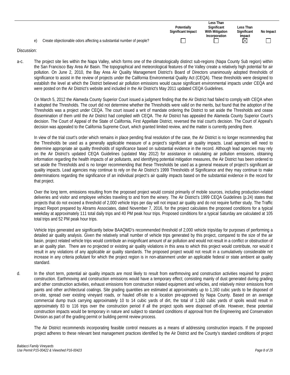|                                                                            |                    | Less Than              |             |           |
|----------------------------------------------------------------------------|--------------------|------------------------|-------------|-----------|
|                                                                            | <b>Potentially</b> | Significant            | Less Than   |           |
|                                                                            | Significant Impact | <b>With Mitigation</b> | Significant | No Impact |
|                                                                            |                    | Incorporation          | Impact      |           |
| Create objectionable odors affecting a substantial number of people?<br>e) |                    |                        | $\bowtie$   |           |

a-c. The project site lies within the Napa Valley, which forms one of the climatologically distinct sub-regions (Napa County Sub region) within the San Francisco Bay Area Air Basin. The topographical and meteorological features of the Valley create a relatively high potential for air pollution. On June 2, 2010, the Bay Area Air Quality Management District's Board of Directors unanimously adopted thresholds of significance to assist in the review of projects under the California Environmental Quality Act (CEQA). These thresholds were designed to establish the level at which the District believed air pollution emissions would cause significant environmental impacts under CEQA and were posted on the Air District's website and included in the Air District's May 2011 updated CEQA Guidelines.

On March 5, 2012 the Alameda County Superior Court issued a judgment finding that the Air District had failed to comply with CEQA when it adopted the Thresholds. The court did not determine whether the Thresholds were valid on the merits, but found that the adoption of the Thresholds was a project under CEQA. The court issued a writ of mandate ordering the District to set aside the Thresholds and cease dissemination of them until the Air District had complied with CEQA. The Air District has appealed the Alameda County Superior Court's decision. The Court of Appeal of the State of California, First Appellate District, reversed the trial court's decision. The Court of Appeal's decision was appealed to the California Supreme Court, which granted limited review, and the matter is currently pending there.

In view of the trial court's order which remains in place pending final resolution of the case, the Air District is no longer recommending that the Thresholds be used as a generally applicable measure of a project's significant air quality impacts. Lead agencies will need to determine appropriate air quality thresholds of significance based on substantial evidence in the record. Although lead agencies may rely on the Air District's updated CEQA Guidelines (updated May 2012) for assistance in calculating air pollution emissions, obtaining information regarding the health impacts of air pollutants, and identifying potential mitigation measures, the Air District has been ordered to set aside the Thresholds and is no longer recommending that these Thresholds be used as a general measure of project's significant air quality impacts. Lead agencies may continue to rely on the Air District's 1999 Thresholds of Significance and they may continue to make determinations regarding the significance of an individual project's air quality impacts based on the substantial evidence in the record for that project.

Over the long term, emissions resulting from the proposed project would consist primarily of mobile sources, including production-related deliveries and visitor and employee vehicles traveling to and from the winery. The Air District's 1999 CEQA Guidelines (p.24) states that projects that do not exceed a threshold of 2,000 vehicle trips per day will not impact air quality and do not require further study. The Traffic Impact Report prepared by Abrams Associates, dated November 7, 2016, for the project calculates the proposed conditions for a typical weekday at approximately 111 total daily trips and 40 PM peak hour trips. Proposed conditions for a typical Saturday are calculated at 105 total trips and 52 PM peak hour trips.

Vehicle trips generated are significantly below BAAQMD's recommended threshold of 2,000 vehicle trips/day for purposes of performing a detailed air quality analysis. Given the relatively small number of vehicle trips generated by this project, compared to the size of the air basin, project related vehicle trips would contribute an insignificant amount of air pollution and would not result in a conflict or obstruction of an air quality plan. There are no projected or existing air quality violations in this area to which this project would contribute, nor would it result in any violations of any applicable air quality standards. The proposed project would not result in a cumulatively considerable net increase in any criteria pollutant for which the project region is in non-attainment under an applicable federal or state ambient air quality standard.

d. In the short term, potential air quality impacts are most likely to result from earthmoving and construction activities required for project construction. Earthmoving and construction emissions would have a temporary effect; consisting mainly of dust generated during grading and other construction activities, exhaust emissions from construction related equipment and vehicles, and relatively minor emissions from paints and other architectural coatings. Site grading quantities are estimated at approximately up to 1,160 cubic yards to be disposed of on-site, spread over existing vineyard roads, or hauled off-site to a location pre-approved by Napa County. Based on an average commercial dump truck carrying approximately 10 to 14 cubic yards of dirt, the total of 1,160 cubic yards of spoils would result in approximately 83 to 116 trips over the construction period if all the project spoils were disposed off-site. However, these potential construction impacts would be temporary in nature and subject to standard conditions of approval from the Engineering and Conservation Division as part of the grading permit or building permit review process.

The Air District recommends incorporating feasible control measures as a means of addressing construction impacts. If the proposed project adheres to these relevant best management practices identified by the Air District and the County's standard conditions of project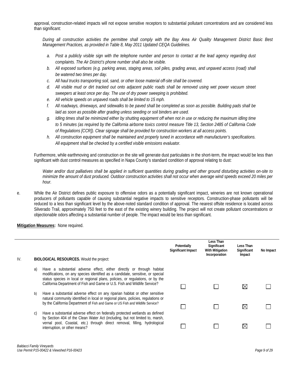approval, construction-related impacts will not expose sensitive receptors to substantial pollutant concentrations and are considered less than significant:

*During all construction activities the permittee shall comply with the Bay Area Air Quality Management District Basic Best Management Practices, as provided in Table 8, May 2011 Updated CEQA Guidelines.* 

- *a. Post a publicly visible sign with the telephone number and person to contact at the lead agency regarding dust complaints. The Air District's phone number shall also be visible.*
- *b. All exposed surfaces (e.g. parking areas, staging areas, soil piles, grading areas, and unpaved access (road) shall be watered two times per day.*
- *c. All haul trucks transporting soil, sand, or other loose material off-site shall be covered.*
- *d. All visible mud or dirt tracked out onto adjacent public roads shall be removed using wet power vacuum street sweepers at least once per day. The use of dry power sweeping is prohibited.*
- *e. All vehicle speeds on unpaved roads shall be limited to 15 mph.*
- *f. All roadways, driveways, and sidewalks to be paved shall be completed as soon as possible. Building pads shall be laid as soon as possible after grading unless seeding or soil binders are used.*
- *g. Idling times shall be minimized either by shutting equipment off when not in use or reducing the maximum idling time to 5 minutes (as required by the California airborne toxics control measure Title 13, Section 2485 of California Code of Regulations [CCR]). Clear signage shall be provided for construction workers at all access points.*
- *h. All construction equipment shall be maintained and properly tuned in accordance with manufacturer's specifications. All equipment shall be checked by a certified visible emissions evaluator.*

Furthermore, while earthmoving and construction on the site will generate dust particulates in the short-term, the impact would be less than significant with dust control measures as specified in Napa County's standard condition of approval relating to dust:

*Water and/or dust palliatives shall be applied in sufficient quantities during grading and other ground disturbing activities on-site to minimize the amount of dust produced. Outdoor construction activities shall not occur when average wind speeds exceed 20 miles per hour.*

e. While the Air District defines public exposure to offensive odors as a potentially significant impact, wineries are not known operational producers of pollutants capable of causing substantial negative impacts to sensitive receptors. Construction-phase pollutants will be reduced to a less than significant level by the above-noted standard condition of approval. The nearest offsite residence is located across Silverado Trail, approximately 750 feet to the east of the existing winery building. The project will not create pollutant concentrations or objectionable odors affecting a substantial number of people. The impact would be less than significant.

| IV. |    | <b>BIOLOGICAL RESOURCES.</b> Would the project:                                                                                                                                                                                                                                                                        | Potentially<br>Significant Impact | Less Than<br>Significant<br><b>With Mitigation</b><br>Incorporation | Less Than<br>Significant<br>Impact | No Impact |
|-----|----|------------------------------------------------------------------------------------------------------------------------------------------------------------------------------------------------------------------------------------------------------------------------------------------------------------------------|-----------------------------------|---------------------------------------------------------------------|------------------------------------|-----------|
|     | a) | Have a substantial adverse effect, either directly or through habitat<br>modifications, on any species identified as a candidate, sensitive, or special<br>status species in local or regional plans, policies, or regulations, or by the<br>California Department of Fish and Game or U.S. Fish and Wildlife Service? |                                   |                                                                     |                                    |           |
|     | b) | Have a substantial adverse effect on any riparian habitat or other sensitive<br>natural community identified in local or regional plans, policies, regulations or<br>by the California Department of Fish and Game or US Fish and Wildlife Service?                                                                    |                                   |                                                                     | ⋉                                  |           |
|     | C) | Have a substantial adverse effect on federally protected wetlands as defined<br>by Section 404 of the Clean Water Act (including, but not limited to, marsh,<br>vernal pool, Coastal, etc.) through direct removal, filling, hydrological<br>interruption, or other means?                                             |                                   |                                                                     |                                    |           |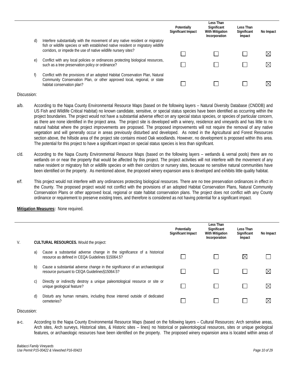|    |                                                                                                                                                                                                                                       | Potentially<br><b>Significant Impact</b> | Less Than<br>Significant<br>With Mitigation<br>Incorporation | Less Than<br>Significant<br>Impact | No Impact   |
|----|---------------------------------------------------------------------------------------------------------------------------------------------------------------------------------------------------------------------------------------|------------------------------------------|--------------------------------------------------------------|------------------------------------|-------------|
| d) | Interfere substantially with the movement of any native resident or migratory<br>fish or wildlife species or with established native resident or migratory wildlife<br>corridors, or impede the use of native wildlife nursery sites? |                                          |                                                              |                                    |             |
|    |                                                                                                                                                                                                                                       |                                          |                                                              |                                    | $\boxtimes$ |
| e) | Conflict with any local policies or ordinances protecting biological resources,<br>such as a tree preservation policy or ordinance?                                                                                                   |                                          |                                                              |                                    | $\boxtimes$ |
|    | Conflict with the provisions of an adopted Habitat Conservation Plan, Natural<br>Community Conservation Plan, or other approved local, regional, or state<br>habitat conservation plan?                                               |                                          |                                                              |                                    |             |

- a/b. According to the Napa County Environmental Resource Maps (based on the following layers Natural Diversity Database (CNDDB) and US Fish and Wildlife Critical Habitat) no known candidate, sensitive, or special status species have been identified as occurring within the project boundaries. The project would not have a substantial adverse effect on any special status species, or species of particular concern, as there are none identified in the project area. The project site is developed with a winery, residence and vineyards and has little to no natural habitat where the project improvements are proposed. The proposed improvements will not require the removal of any native vegetation and will generally occur in areas previously disturbed and developed. As noted in the Agricultural and Forest Resources section above, the hillside area of the project site contains mixed Oak woodlands. However, no development is proposed within this area. The potential for this project to have a significant impact on special status species is less than significant.
- c/d. According to the Napa County Environmental Resource Maps (based on the following layers wetlands & vernal pools) there are no wetlands on or near the property that would be affected by this project. The project activities will not interfere with the movement of any native resident or migratory fish or wildlife species or with their corridors or nursery sites, because no sensitive natural communities have been identified on the property. As mentioned above, the proposed winery expansion area is developed and exhibits little quality habitat.
- e/f. This project would not interfere with any ordinances protecting biological resources. There are no tree preservation ordinances in effect in the County. The proposed project would not conflict with the provisions of an adopted Habitat Conservation Plans, Natural Community Conservation Plans or other approved local, regional or state habitat conservation plans. The project does not conflict with any County ordinance or requirement to preserve existing trees, and therefore is considered as not having potential for a significant impact.

### **Mitigation Measures:** None required.

| V. |    | <b>CULTURAL RESOURCES.</b> Would the project:                                                                                | Potentially<br>Significant Impact | Less Than<br>Significant<br>With Mitigation<br>Incorporation | Less Than<br>Significant<br>Impact | No Impact   |
|----|----|------------------------------------------------------------------------------------------------------------------------------|-----------------------------------|--------------------------------------------------------------|------------------------------------|-------------|
|    | a) | Cause a substantial adverse change in the significance of a historical<br>resource as defined in CEQA Guidelines §15064.5?   |                                   |                                                              | $\boxtimes$                        |             |
|    | b) | Cause a substantial adverse change in the significance of an archaeological<br>resource pursuant to CEQA Guidelines§15064.5? |                                   |                                                              |                                    | $\boxtimes$ |
|    | C) | Directly or indirectly destroy a unique paleontological resource or site or<br>unique geological feature?                    |                                   |                                                              |                                    | $\boxtimes$ |
|    | d) | Disturb any human remains, including those interred outside of dedicated<br>cemeteries?                                      |                                   |                                                              |                                    | ⋉           |

### Discussion:

a-c. According to the Napa County Environmental Resource Maps (based on the following layers – Cultural Resources: Arch sensitive areas, Arch sites, Arch surveys, Historical sites, & Historic sites – lines) no historical or paleontological resources, sites or unique geological features, or archaeologic resources have been identified on the property. The proposed winery expansion area is located within areas of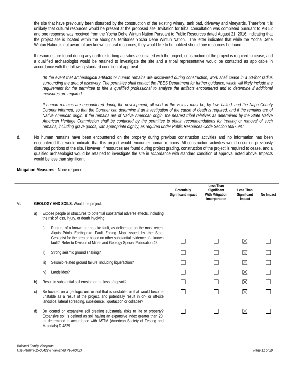the site that have previously been disturbed by the construction of the existing winery, tank pad, driveway and vineyards. Therefore it is unlikely that cultural resources would be present at the proposed site. Invitation for tribal consultation was completed pursuant to AB 52 and one response was received from the Yocha Dehe Wintun Nation Pursuant to Public Resources dated August 21, 2016, indicating that the project site is located within the aboriginal territories Yocha Dehe Wintun Nation. The letter indicates that while the Yocha Dehe Wintun Nation is not aware of any known cultural resources, they would like to be notified should any resources be found.

If resources are found during any earth disturbing activities associated with the project, construction of the project is required to cease, and a qualified archaeologist would be retained to investigate the site and a tribal representative would be contacted as applicable in accordance with the following standard condition of approval:

*"In the event that archeological artifacts or human remains are discovered during construction, work shall cease in a 50-foot radius surrounding the area of discovery. The permittee shall contact the PBES Department for further guidance, which will likely include the*  requirement for the permittee to hire a qualified professional to analyze the artifacts encountered and to determine if additional *measures are required.*

*If human remains are encountered during the development, all work in the vicinity must be, by law, halted, and the Napa County Coroner informed, so that the Coroner can determine if an investigation of the cause of death is required, and if the remains are of Native American origin. If the remains are of Native American origin, the nearest tribal relatives as determined by the State Native American Heritage Commission shall be contacted by the permittee to obtain recommendations for treating or removal of such remains, including grave goods, with appropriate dignity, as required under Public Resources Code Section 5097.98."*

d. No human remains have been encountered on the property during previous construction activities and no information has been encountered that would indicate that this project would encounter human remains. All construction activities would occur on previously disturbed portions of the site. However, if resources are found during project grading, construction of the project is required to cease, and a qualified archaeologist would be retained to investigate the site in accordance with standard condition of approval noted above. Impacts would be less than significant.

### **Less Than Potentially Significant Less Than Significant Impact With Mitigation Significant No Impact Incorporation Impact** VI**. GEOLOGY AND SOILS.** Would the project: a) Expose people or structures to potential substantial adverse effects, including the risk of loss, injury, or death involving: i) Rupture of a known earthquake fault, as delineated on the most recent Alquist-Priolo Earthquake Fault Zoning Map issued by the State Geologist for the area or based on other substantial evidence of a known П П  $\boxtimes$ П fault? Refer to Division of Mines and Geology Special Publication 42. ii) Strong seismic ground shaking?  $\Box$  $\Box$  $\boxtimes$  $\Box$ iii) Seismic-related ground failure, including liquefaction? П  $\boxtimes$  $\Box$ iv) Landslides?  $\boxtimes$  $\Box$  $\Box$ b) Result in substantial soil erosion or the loss of topsoil?  $\Box$  $\Box$  $\boxtimes$ П c) Be located on a geologic unit or soil that is unstable, or that would become  $\Box$  $\boxtimes$ П unstable as a result of the project, and potentially result in on- or off-site landslide, lateral spreading, subsidence, liquefaction or collapse? d) Be located on expansive soil creating substantial risks to life or property? П ⊠ П П Expansive soil is defined as soil having an expansive index greater than 20, as determined in accordance with ASTM (American Society of Testing and Materials) D 4829.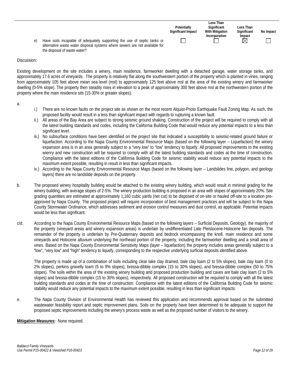| Have soils incapable of adequately supporting the use of septic tanks or<br>e)<br>alternative waste water disposal systems where sewers are not available for<br>the disposal of waste water? | Potentially<br>Significant Impact | Less Than<br>Significant<br><b>With Mitigation</b><br>Incorporation | Less Than<br>Significant<br>Impact<br>$\boxtimes$ | No Impact |
|-----------------------------------------------------------------------------------------------------------------------------------------------------------------------------------------------|-----------------------------------|---------------------------------------------------------------------|---------------------------------------------------|-----------|
|-----------------------------------------------------------------------------------------------------------------------------------------------------------------------------------------------|-----------------------------------|---------------------------------------------------------------------|---------------------------------------------------|-----------|

Existing development on the site includes a winery, main residence, farmworker dwelling with a detached garage, water storage tanks, and approximately 17.6 acres of vineyards. The property is relatively flat along the southwestern portion of the property which is planted in vines, ranging from approximately 105 feet above mean sea level (msl) to approximately 125 feet above msl at the area of the existing winery and farmworker dwelling (0-5% slope). The property then steadily rises in elevation to a peak of approximately 300 feet above msl at the northwestern portion of the property where the main residence sits (15-30% or greater slopes).

a.

- i.) There are no known faults on the project site as shown on the most recent Alquist-Priolo Earthquake Fault Zoning Map. As such, the proposed facility would result in a less than significant impact with regards to rupturing a known fault.
- ii.) All areas of the Bay Area are subject to strong seismic ground shaking. Construction of the project will be required to comply with all the latest building standards and codes, including the California Building Code that would reduce any potential impacts to a less than significant level.
- iii.) No subsurface conditions have been identified on the project site that indicated a susceptibility to seismic-related ground failure or liquefaction. According to the Napa County Environmental Resource Maps (based on the following layer – Liquefaction) the winery expansion area is in an area generally subject to a "very low" to "low" tendency to liquefy. All proposed improvements to the existing wienry and new construction will be required to comply with all the latest building standards and codes at the time of construction. Compliance with the latest editions of the California Building Code for seismic stability would reduce any potential impacts to the maximum extent possible, resulting in result in less than significant impacts.
- iv.) According to the Napa County Environmental Resource Maps (based on the following layer Landslides line, polygon, and geology layers) there are no landslide deposits on the property.
- b. The proposed winery hospitality building would be attached to the existing winery building, which would result in minimal grading for the winery building, with average slopes of 2-5%. The winery production building is proposed in an area with slopes of approximately 20%. Site grading quantities are estimated at approximately 1,160 cubic yards (net cut) to be disposed of on-site or hauled off-site to a location preapproved by Napa County. The proposed project will require incorporation of best management practices and will be subject to the Napa County Stormwater Ordinance, which addresses sediment and erosion control measures and dust control, as applicable. Potential impacts would be less than significant.
- c/d. According to the Napa County Environmental Resource Maps (based on the following layers Surficial Deposits, Geology), the majority of the property (vineyard areas and winery expansion areas) is underlain by undifferentiated Late Pleistocene-Holocene fan deposits. The remainder of the property is underlain by Pre-Quaternary deposits and bedrock encompassing the knoll, main residence and some vineyards and Holocene alluvium underlying the northeast portion of the property, including the farmworker dwelling and a small area of vines. Based on the Napa County Environmental Sensitivity Maps (layer – liquefaction) the property includes areas generally subject to a "low", "very low" and "high" tendency to liquefy, corresponding to the respective underlying surficial deposits identified above.

The property is made up of a combination of soils including clear lake clay drained, bale clay loam (2 to 5% slopes), bale clay loam (0 to 2% slopes), perkins gravelly loam (5 to 9% slopes), bressa-dibble complex (15 to 30% slopes), and bressa-dibble complex (50 to 75% slopes). The soils within the area of the existing winery building and proposed production building and caves are bale clay loam (2 to 5% slopes) and bressa-dibble complex (15 to 30% slopes), respectively. All proposed construction will be required to comply with all the latest building standards and codes at the time of construction. Compliance with the latest editions of the California Building Code for seismic stability would reduce any potential impacts to the maximum extent possible, resulting in less than significant impacts.

e. The Napa County Division of Environmental Health has reviewed this application and recommends approval based on the submitted wastewater feasibility report and septic improvement plans. Soils on the property have been determined to be adequate to support the proposed septic improvements including the winery's process waste as well as the proposed number of visitors to the winery.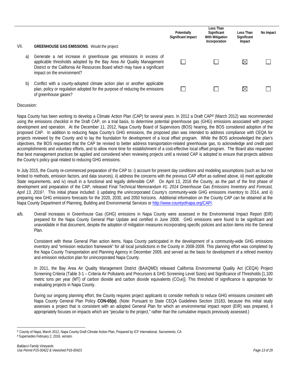|      |                                                                                                                                                                                                                                                       | Potentially<br><b>Significant Impact</b> | Less Than<br>Significant<br><b>With Mitigation</b><br>Incorporation | Less Than<br>Significant<br>Impact | No Impact |
|------|-------------------------------------------------------------------------------------------------------------------------------------------------------------------------------------------------------------------------------------------------------|------------------------------------------|---------------------------------------------------------------------|------------------------------------|-----------|
| VII. | <b>GREENHOUSE GAS EMISSIONS.</b> Would the project:                                                                                                                                                                                                   |                                          |                                                                     |                                    |           |
| a)   | Generate a net increase in greenhouse gas emissions in excess of<br>applicable thresholds adopted by the Bay Area Air Quality Management<br>District or the California Air Resources Board which may have a significant<br>impact on the environment? |                                          |                                                                     | ⋉                                  |           |
| b)   | Conflict with a county-adopted climate action plan or another applicable<br>plan, policy or regulation adopted for the purpose of reducing the emissions<br>of greenhouse gases?                                                                      |                                          |                                                                     | ⋉                                  |           |

Napa County has been working to develop a Climate Action Plan (CAP) for several years. In 2012 a Draft CAP**[2](#page-13-0)** (March 2012) was recommended using the emissions checklist in the Draft CAP, on a trial basis, to determine potential greenhouse gas (GHG) emissions associated with project development and operation. At the December 11, 2012, Napa County Board of Supervisors (BOS) hearing, the BOS considered adoption of the proposed CAP. In addition to reducing Napa County's GHG emissions, the proposed plan was intended to address compliance with CEQA for projects reviewed by the County and to lay the foundation for development of a local offset program. While the BOS acknowledged the plan's objectives, the BOS requested that the CAP be revised to better address transportation-related greenhouse gas, to acknowledge and credit past accomplishments and voluntary efforts, and to allow more time for establishment of a cost-effective local offset program. The Board also requested that best management practices be applied and considered when reviewing projects until a revised CAP is adopted to ensure that projects address the County's policy goal related to reducing GHG emissions.

In July 2015, the County re-commenced preparation of the CAP to: i) account for present day conditions and modeling assumptions (such as but not limited to methods, emission factors, and data sources), ii) address the concerns with the previous CAP effort as outlined above, iii) meet applicable State requirements, and iv) result in a functional and legally defensible CAP. On April 13, 2016 the County, as the part of the first phase of development and preparation of the CAP, released Final Technical Memorandum #1: *2014 Greenhouse Gas Emissions Inventory and Forecast, April 13, 2016[3](#page-13-1)*. This initial phase included: i) updating the unincorporated County's community-wide GHG emissions inventory to 2014, and ii) preparing new GHG emissions forecasts for the 2020, 2030, and 2050 horizons. Additional information on the County CAP can be obtained at the Napa County Department of Planning, Building and Environmental Services or [http://www.countyofnapa.org/CAP/.](http://www.countyofnapa.org/CAP/)

a/b. Overall increases in Greenhouse Gas (GHG) emissions in Napa County were assessed in the Environmental Impact Report (EIR) prepared for the Napa County General Plan Update and certified in June 2008. GHG emissions were found to be significant and unavoidable in that document, despite the adoption of mitigation measures incorporating specific policies and action items into the General Plan.

Consistent with these General Plan action items, Napa County participated in the development of a community-wide GHG emissions inventory and "emission reduction framework" for all local jurisdictions in the County in 2008-2009. This planning effort was completed by the Napa County Transportation and Planning Agency in December 2009, and served as the basis for development of a refined inventory and emission reduction plan for unincorporated Napa County.

In 2011, the Bay Area Air Quality Management District (BAAQMD) released California Environmental Quality Act (CEQA) Project Screening Criteria (Table 3-1 – Criteria Air Pollutants and Precursors & GHG Screening Level Sizes) and Significance of Thresholds [1,100 metric tons per year (MT) of carbon dioxide and carbon dioxide equivalents  $(CO<sub>2</sub>e)$ . This threshold of significance is appropriate for evaluating projects in Napa County.

During our ongoing planning effort, the County requires project applicants to consider methods to reduce GHG emissions consistent with Napa County General Plan Policy **CON-65(e)**. (Note: Pursuant to State CEQA Guidelines Section 15183, because this initial study assesses a project that is consistent with an adopted General Plan for which an environmental impact report (EIR) was prepared, it appropriately focuses on impacts which are "peculiar to the project," rather than the cumulative impacts previously assessed.)

 $\overline{a}$ **<sup>2</sup>** County of Napa, March 2012, Napa County Draft Climate Action Plan, Prepared by ICF International. Sacramento, CA

<span id="page-13-1"></span><span id="page-13-0"></span>**<sup>3</sup>** Supersedes February 2, 2016, version.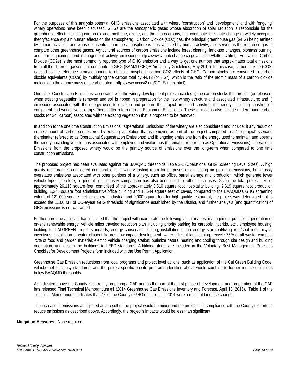For the purposes of this analysis potential GHG emissions associated with winery 'construction' and 'development' and with 'ongoing' winery operations have been discussed. GHGs are the atmospheric gases whose absorption of solar radiation is responsible for the greenhouse effect, including carbon dioxide, methane, ozone, and the fluorocarbons, that contribute to climate change (a widely accepted theory/science explain human effects on the atmosphere). Carbon Dioxide (CO2) gas, the principal greenhouse gas (GHG) being emitted by human activities, and whose concentration in the atmosphere is most affected by human activity, also serves as the reference gas to compare other greenhouse gases. Agricultural sources of carbon emissions include forest clearing, land-use changes, biomass burning, and farm equipment and management activity emissions (http://www.climatechange.ca.gov/glossary/letter\_c.html). Equivalent Carbon Dioxide (CO2e) is the most commonly reported type of GHG emission and a way to get one number that approximates total emissions from all the different gasses that contribute to GHG (BAAMD CEQA Air Quality Guidelines, May 2012). In this case, carbon dioxide (CO2) is used as the reference atom/compound to obtain atmospheric carbon CO2 effects of GHG. Carbon stocks are converted to carbon dioxide equivalents (CO2e) by multiplying the carbon total by 44/12 (or 3.67), which is the ratio of the atomic mass of a carbon dioxide molecule to the atomic mass of a carbon atom (http://www.nciasi2.org/COLE/index.html).

One time "Construction Emissions" associated with the winery development project includes: i) the carbon stocks that are lost (or released) when existing vegetation is removed and soil is ripped in preparation for the new winery structure and associated infrastructure; and ii) emissions associated with the energy used to develop and prepare the project area and construct the winery, including construction equipment and worker vehicle trips (hereinafter referred to as Equipment Emissions). These emissions also include underground carbon stocks (or Soil carbon) associated with the existing vegetation that is proposed to be removed.

In addition to the one time Construction Emissions, "Operational Emissions" of the winery are also considered and include: i) any reduction in the amount of carbon sequestered by existing vegetation that is removed as part of the project compared to a "no project" scenario (hereinafter referred to as Operational Sequestration Emissions); and ii) ongoing emissions from the energy used to maintain and operate the winery, including vehicle trips associated with employee and visitor trips (hereinafter referred to as Operational Emissions). Operational Emissions from the proposed winery would be the primary source of emissions over the long-term when compared to one time construction emissions.

The proposed project has been evaluated against the BAAQMD thresholds Table 3-1 (Operational GHG Screening Level Sizes). A high quality restaurant is considered comparable to a winery tasting room for purposes of evaluating air pollutant emissions, but grossly overstates emissions associated with other portions of a winery, such as office, barrel storage and production, which generate fewer vehicle trips. Therefore, a general light industry comparison has also been used for other such uses. Given the total project size of approximately 26,118 square feet, comprised of the approximately 3,510 square foot hospitality building, 2,619 square foot production building, 1,245 square foot administrative/office building and 18,644 square feet of caves, compared to the BAAQMD's GHG screening criteria of 121,000 square feet for general industrial and 9,000 square feet for high quality restaurant, the project was determined not to exceed the 1,100 MT of CO<sub>2</sub>e/year GHG threshold of significance established by the District, and further analysis (and quantification) of GHG emissions is not warranted.

Furthermore, the applicant has indicated that the project will incorporate the following voluntary best management practices: generation of on-site renewable energy; vehicle miles traveled reduction plan including priority parking for carpools, hybrids, etc., employee housing; building to CALGREEN Tier 1 standards; energy conserving lighting; installation of an energy star roof/living roof/cool roof; bicycle incentives; installation of water efficient fixtures; low impact development; water efficient landscaping; recycle 75% of all waste; compost 75% of food and garden material; electric vehicle charging station; optimize natural heating and cooling through site design and building orientation; and design the buildings to LEED standards. Additional items are included in the Voluntary Best Management Practices Checklist for Development Projects form included with the Use Permit Application.

Greenhouse Gas Emission reductions from local programs and project level actions, such as application of the Cal Green Building Code, vehicle fuel efficiency standards, and the project-specific on-site programs identified above would combine to further reduce emissions below BAAQMD thresholds.

As indicated above the County is currently preparing a CAP and as the part of the first phase of development and preparation of the CAP has released Final Technical Memorandum #1 (2014 Greenhouse Gas Emissions Inventory and Forecast, April 13, 2016). Table 1 of the Technical Memorandum indicates that 2% of the County's GHG emissions in 2014 were a result of land use change.

The increase in emissions anticipated as a result of the project would be minor and the project is in compliance with the County's efforts to reduce emissions as described above. Accordingly, the project's impacts would be less than significant.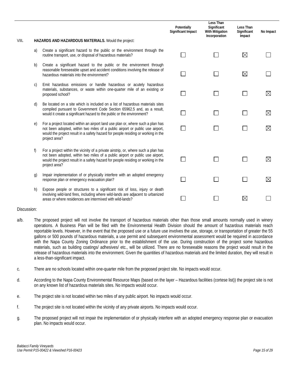|          |                                                                                                                                                                                                                                                                           | Potentially<br><b>Significant Impact</b> | Less Than<br>Significant<br>With Mitigation<br>Incorporation | Less Than<br>Significant<br>Impact | No Impact   |
|----------|---------------------------------------------------------------------------------------------------------------------------------------------------------------------------------------------------------------------------------------------------------------------------|------------------------------------------|--------------------------------------------------------------|------------------------------------|-------------|
| VIII.    | HAZARDS AND HAZARDOUS MATERIALS. Would the project:                                                                                                                                                                                                                       |                                          |                                                              |                                    |             |
| a)       | Create a significant hazard to the public or the environment through the<br>routine transport, use, or disposal of hazardous materials?                                                                                                                                   |                                          |                                                              | $\boxtimes$                        |             |
| b)       | Create a significant hazard to the public or the environment through<br>reasonable foreseeable upset and accident conditions involving the release of<br>hazardous materials into the environment?                                                                        |                                          |                                                              | $\boxtimes$                        |             |
| C)       | Emit hazardous emissions or handle hazardous or acutely hazardous<br>materials, substances, or waste within one-quarter mile of an existing or<br>proposed school?                                                                                                        |                                          |                                                              |                                    | $\boxtimes$ |
| d)       | Be located on a site which is included on a list of hazardous materials sites<br>compiled pursuant to Government Code Section 65962.5 and, as a result,<br>would it create a significant hazard to the public or the environment?                                         |                                          |                                                              |                                    | $\boxtimes$ |
| $\Theta$ | For a project located within an airport land use plan or, where such a plan has<br>not been adopted, within two miles of a public airport or public use airport,<br>would the project result in a safety hazard for people residing or working in the<br>project area?    |                                          |                                                              |                                    | X           |
| f)       | For a project within the vicinity of a private airstrip, or, where such a plan has<br>not been adopted, within two miles of a public airport or public use airport,<br>would the project result in a safety hazard for people residing or working in the<br>project area? |                                          |                                                              |                                    | $\boxtimes$ |
| g)       | Impair implementation of or physically interfere with an adopted emergency<br>response plan or emergency evacuation plan?                                                                                                                                                 |                                          |                                                              |                                    | $\boxtimes$ |
| h)       | Expose people or structures to a significant risk of loss, injury or death<br>involving wild-land fires, including where wild-lands are adjacent to urbanized<br>areas or where residences are intermixed with wild-lands?                                                |                                          |                                                              | ⋉                                  |             |

- a/b. The proposed project will not involve the transport of hazardous materials other than those small amounts normally used in winery operations. A Business Plan will be filed with the Environmental Health Division should the amount of hazardous materials reach reportable levels. However, in the event that the proposed use or a future use involves the use, storage, or transportation of greater the 55 gallons or 500 pounds of hazardous materials, a use permit and subsequent environmental assessment would be required in accordance with the Napa County Zoning Ordinance prior to the establishment of the use. During construction of the project some hazardous materials, such as building coatings/ adhesives/ etc., will be utilized. There are no foreseeable reasons the project would result in the release of hazardous materials into the environment. Given the quantities of hazardous materials and the limited duration, they will result in a less-than-significant impact.
- c. There are no schools located within one-quarter mile from the proposed project site. No impacts would occur.
- d. According to the Napa County Environmental Resource Maps (based on the layer Hazardous facilities (cortese list)) the project site is not on any known list of hazardous materials sites. No impacts would occur.
- e. The project site is not located within two miles of any public airport. No impacts would occur.
- f. The project site is not located within the vicinity of any private airports. No impacts would occur.
- g. The proposed project will not impair the implementation of or physically interfere with an adopted emergency response plan or evacuation plan. No impacts would occur.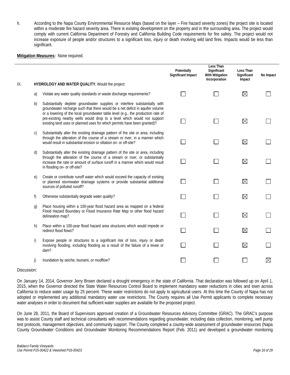h. According to the Napa County Environmental Resource Maps (based on the layer – Fire hazard severity zones) the project site is located within a moderate fire hazard severity area. There is existing development on the property and in the surrounding area. The project would comply with current California Department of Forestry and California Building Code requirements for fire safety. The project would not increase exposure of people and/or structures to a significant loss, injury or death involving wild land fires. Impacts would be less than significant.

### **Mitigation Measures:** None required.

|     |    |                                                                                                                                                                                                                                                                                                                                                                                                        | Potentially<br><b>Significant Impact</b> | Less Than<br>Significant<br><b>With Mitigation</b><br>Incorporation | Less Than<br>Significant<br>Impact | No Impact |
|-----|----|--------------------------------------------------------------------------------------------------------------------------------------------------------------------------------------------------------------------------------------------------------------------------------------------------------------------------------------------------------------------------------------------------------|------------------------------------------|---------------------------------------------------------------------|------------------------------------|-----------|
| IX. |    | HYDROLOGY AND WATER QUALITY. Would the project:                                                                                                                                                                                                                                                                                                                                                        |                                          |                                                                     |                                    |           |
|     | a) | Violate any water quality standards or waste discharge requirements?                                                                                                                                                                                                                                                                                                                                   |                                          |                                                                     | $\boxtimes$                        |           |
|     | b) | Substantially deplete groundwater supplies or interfere substantially with<br>groundwater recharge such that there would be a net deficit in aquifer volume<br>or a lowering of the local groundwater table level (e.g., the production rate of<br>pre-existing nearby wells would drop to a level which would not support<br>existing land uses or planned uses for which permits have been granted)? |                                          |                                                                     | $\boxtimes$                        |           |
|     | C) | Substantially alter the existing drainage pattern of the site or area, including<br>through the alteration of the course of a stream or river, in a manner which<br>would result in substantial erosion or siltation on- or off-site?                                                                                                                                                                  |                                          |                                                                     | $\boxtimes$                        |           |
|     | d) | Substantially alter the existing drainage pattern of the site or area, including<br>through the alteration of the course of a stream or river, or substantially<br>increase the rate or amount of surface runoff in a manner which would result<br>in flooding on- or off-site?                                                                                                                        |                                          |                                                                     | $\boxtimes$                        |           |
|     | e) | Create or contribute runoff water which would exceed the capacity of existing<br>or planned stormwater drainage systems or provide substantial additional<br>sources of polluted runoff?                                                                                                                                                                                                               |                                          |                                                                     | $\boxtimes$                        |           |
|     | f) | Otherwise substantially degrade water quality?                                                                                                                                                                                                                                                                                                                                                         |                                          |                                                                     | $\boxtimes$                        |           |
|     | g) | Place housing within a 100-year flood hazard area as mapped on a federal<br>Flood Hazard Boundary or Flood Insurance Rate Map or other flood hazard<br>delineation map?                                                                                                                                                                                                                                |                                          |                                                                     | $\boxtimes$                        |           |
|     | h) | Place within a 100-year flood hazard area structures which would impede or<br>redirect flood flows?                                                                                                                                                                                                                                                                                                    |                                          |                                                                     | $\boxtimes$                        |           |
|     | i) | Expose people or structures to a significant risk of loss, injury or death<br>involving flooding, including flooding as a result of the failure of a levee or<br>dam?                                                                                                                                                                                                                                  |                                          |                                                                     | $\boxtimes$                        |           |
|     | j) | Inundation by seiche, tsunami, or mudflow?                                                                                                                                                                                                                                                                                                                                                             |                                          |                                                                     |                                    |           |

### Discussion:

On January 14, 2014, Governor Jerry Brown declared a drought emergency in the state of California. That declaration was followed up on April 1, 2015, when the Governor directed the State Water Resources Control Board to implement mandatory water reductions in cities and town across California to reduce water usage by 25 percent. These water restrictions do not apply to agricultural users. At this time the County of Napa has not adopted or implemented any additional mandatory water use restrictions. The County requires all Use Permit applicants to complete necessary water analyses in order to document that sufficient water supplies are available for the proposed project.

On June 28, 2011, the Board of Supervisors approved creation of a Groundwater Resources Advisory Committee (GRAC). The GRAC's purpose was to assist County staff and technical consultants with recommendations regarding groundwater, including data collection, monitoring, well pump test protocols, management objectives, and community support. The County completed a county-wide assessment of groundwater resources (Napa County Groundwater Conditions and Groundwater Monitoring Recommendations Report (Feb. 2011) and developed a groundwater monitoring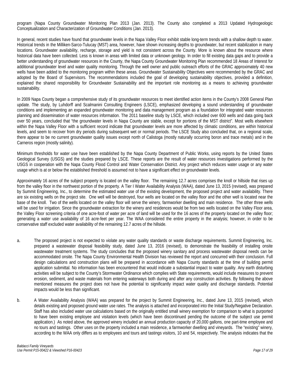program (Napa County Groundwater Monitoring Plan 2013 (Jan. 2013). The County also completed a 2013 Updated Hydrogeologic Conceptualization and Characterization of Groundwater Conditions (Jan. 2013).

In general, recent studies have found that groundwater levels in the Napa Valley Floor exhibit stable long-term trends with a shallow depth to water. Historical trends in the Milliken-Sarco-Tulucay (MST) area, however, have shown increasing depths to groundwater, but recent stabilization in many locations. Groundwater availability, recharge, storage and yield is not consistent across the County. More is known about the resource where historical data have been collected. Less is known in areas with limited data or unknown geology. In order to fill existing data gaps and to provide a better understanding of groundwater resources in the County, the Napa County Groundwater Monitoring Plan recommended 18 Areas of Interest for additional groundwater level and water quality monitoring. Through the well owner and public outreach efforts of the GRAC approximately 40 new wells have been added to the monitoring program within these areas. Groundwater Sustainability Objectives were recommended by the GRAC and adopted by the Board of Supervisors. The recommendations included the goal of developing sustainability objectives, provided a definition, explained the shared responsibility for Groundwater Sustainability and the important role monitoring as a means to achieving groundwater sustainability.

In 2009 Napa County began a comprehensive study of its groundwater resources to meet identified action items in the County's 2008 General Plan update. The study, by Luhdorff and Scalmanini Consulting Engineers (LSCE), emphasized developing a sound understanding of groundwater conditions and implementing an expanded groundwater monitoring and data management program as a foundation for integrated water resources planning and dissemination of water resources information. The 2011 baseline study by LSCE, which included over 600 wells and data going back over 50 years, concluded that "the groundwater levels in Napa County are stable, except for portions of the MST district". Most wells elsewhere within the Napa Valley Floor with a sufficient record indicate that groundwater levels are more affected by climatic conditions, are within historical levels, and seem to recover from dry periods during subsequent wet or normal periods. The LSCE Study also concluded that, on a regional scale, there appear to be no current groundwater quality issues except north of Calistoga (mostly naturally occurring boron and trace metals) and in the Carneros region (mostly salinity).

Minimum thresholds for water use have been established by the Napa County Department of Public Works, using reports by the United States Geological Survey (USGS) and the studies prepared by LSCE. These reports are the result of water resources investigations performed by the USGS in cooperation with the Napa County Flood Control and Water Conservation District. Any project which reduces water usage or any water usage which is at or below the established threshold is assumed not to have a significant effect on groundwater levels.

Approximately 16 acres of the subject property is located on the valley floor. The remaining 12.7 acres comprises the knoll or hillside that rises up from the valley floor in the northwest portion of the property. A Tier I Water Availability Analysis (WAA), dated June 13, 2015 (revised), was prepared by Summit Engineering, Inc., to determine the estimated water use of the existing development, the proposed project and water availability. There are six existing wells on the project site. One well will be destroyed, four wells are located on the valley floor and the other well is located near the base of the knoll. Two of the wells located on the valley floor will serve the winery, farmworker dwelling and main residence. The other three wells will be used for irrigation. Since the groundwater extraction for the winery and residences would be from two wells located on the Valley Floor area, the Valley Floor screening criteria of one acre-foot of water per acre of land will be used for the 16 acres of the property located on the valley floor; generating a water use availability of 16 acre-feet per year. The WAA considered the entire property in the analysis; however, in order to be conservative staff excluded water availability of the remaining 12.7 acres of the hillside.

- a. The proposed project is not expected to violate any water quality standards or waste discharge requirements. Summit Engineering, Inc. prepared a wastewater disposal feasibility study, dated June 13, 2016 (revised), to demonstrate the feasibility of installing onsite wastewater treatment systems. The study concludes that the proposed winery sanitary and process wastewater disposal needs can be accommodated onsite. The Napa County Environmental Health Division has reviewed the report and concurred with their conclusion. Full design calculations and construction plans will be prepared in accordance with Napa County standards at the time of building permit application submittal. No information has been encountered that would indicate a substantial impact to water quality. Any earth disturbing activities will be subject to the County's Stormwater Ordinance which complies with State requirements, would include measures to prevent erosion, sediment, and waste materials from entering waterways both during and after any construction activities. By following the above mentioned measures the project does not have the potential to significantly impact water quality and discharge standards. Potential impacts would be less than significant.
- b. A Water Availability Analysis (WAA) was prepared for the project by Summit Engineering, Inc., dated June 13, 2015 (revised), which details existing and proposed ground water use rates. The analysis is attached and incorporated into the Initial Study/Negative Declaration. Staff has also included water use calculations based on the originally entitled small winery exemption for comparison to what is purported to have been existing employee and visitation levels (which have been discontinued pending the outcome of the subject use permit application.) As noted above, the approved winery included an annual production capacity of 20,000 gallons, one part-time employee and no tours and tastings. Other uses on the property included a main residence, a farmworker dwelling and vineyards. The "existing" winery, according to the WAA only differs as to employees and tours and tastings visitors, 10 and 54, respectively. The analysis indicates that the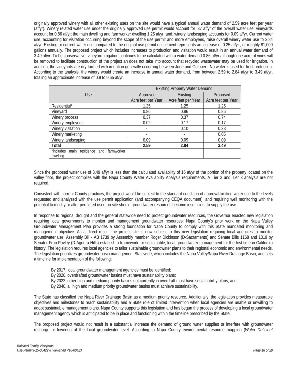originally approved winery with all other existing uses on the site would have a typical annual water demand of 2.59 acre feet per year (af/yr). Winery related water use under the originally approved use permit would account for .37 af/yr of the overall water use; vineyards account for 0.86 af/yr; the main dwelling and farmworker dwelling 1.25 af/yr; and, winery landscaping accounts for 0.09 af/yr. Current water use, accounting for visitation occurring beyond the scope of the use permit and more employees, raise overall winery water use to 2.84 af/yr. Existing or current water use compared to the original use permit entitlement represents an increase of 0.25 af/yr., or roughly 81,000 gallons annually. The proposed project which includes increases to production and visitation would result in an annual water demand of 3.49 af/yr. To be conservative, vineyard irrigation continues to be calculated with a water demand 0.86 af/yr although one acre of vines will be removed to facilitate construction of the project an does not take into account that recycled wastewater may be used for irrigation. In addition, the vineyards are dry farmed with irrigation generally occurring between June and October. No water is used for frost protection. According to the analysis, the winery would create an increase in annual water demand, from between 2.59 to 2.84 af/yr to 3.49 af/yr, totaling an approximate increase of 0.9 to 0.65 af/yr.

|                                                            | <b>Existing Property Water Demand</b> |                    |                    |  |  |
|------------------------------------------------------------|---------------------------------------|--------------------|--------------------|--|--|
| Use                                                        | Approved                              | Existing           | Proposed           |  |  |
|                                                            | Acre feet per Year                    | Acre feet per Year | Acre feet per Year |  |  |
| Residential*                                               | 1.25                                  | 1.25               | 1.25               |  |  |
| Vineyard                                                   | 0.86                                  | 0.86               | 0.86               |  |  |
| Winery process                                             | 0.37                                  | 0.37               | 0.74               |  |  |
| Winery employees                                           | 0.02                                  | 0.17               | 0.17               |  |  |
| Winery visitation                                          | $\overline{\phantom{a}}$              | 0.10               | 0.33               |  |  |
| Winery marketing                                           |                                       |                    | 0.05               |  |  |
| Winery landscaping                                         | 0.09                                  | 0.09               | 0.09               |  |  |
| Total                                                      | 2.59                                  | 2.84               | 3.49               |  |  |
| main residence and<br>*includes<br>farmworker<br>dwelling. |                                       |                    |                    |  |  |

Since the proposed water use of 3.49 af/yr is less than the calculated availability of 16 af/yr of the portion of the property located on the valley floor, the project complies with the Napa County Water Availability Analysis requirements. A Tier 2 and Tier 3 analysis are not required.

Consistent with current County practices, the project would be subject to the standard condition of approval limiting water use to the levels requested and analyzed with the use permit application (and accompanying CEQA document), and requiring well monitoring with the potential to modify or alter permitted used on site should groundwater resources become insufficient to supply the use.

In response to regional drought and the general statewide need to protect groundwater resources, the Governor enacted new legislation requiring local governments to monitor and management groundwater resources. Napa County's prior work on the Napa Valley Groundwater Management Plan provides a strong foundation for Napa County to comply with this State mandated monitoring and management objective. As a direct result, the project site is now subject to this new legislation requiring local agencies to monitor groundwater use. Assembly Bill - AB 1739 by Assembly member Roger Dickinson (D-Sacramento) and Senate Bills 1168 and 1319 by Senator Fran Pavley (D-Agoura Hills) establish a framework for sustainable, local groundwater management for the first time in California history. The legislation requires local agencies to tailor sustainable groundwater plans to their regional economic and environmental needs. The legislation prioritizes groundwater basin management Statewide, which includes the Napa Valley/Napa River Drainage Basin, and sets a timeline for implementation of the following:

- By 2017, local groundwater management agencies must be identified;
- By 2020, overdrafted groundwater basins must have sustainability plans;
- By 2022, other high and medium priority basins not currently in overdraft must have sustainability plans; and
- By 2040, all high and medium priority groundwater basins must achieve sustainability.

The State has classified the Napa River Drainage Basin as a medium priority resource. Additionally, the legislation provides measurable objectives and milestones to reach sustainability and a State role of limited intervention when local agencies are unable or unwilling to adopt sustainable management plans. Napa County supports this legislation and has begun the process of developing a local groundwater management agency which is anticipated to be in place and functioning within the timeline prescribed by the State.

The proposed project would not result in a substantial increase the demand of ground water supplies or interfere with groundwater recharge or lowering of the local groundwater level. According to Napa County environmental resource mapping (*Water Deficient*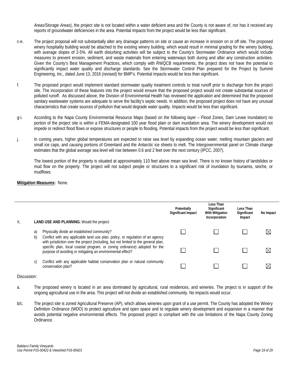*Areas/Storage Areas*), the project site is not located within a water deficient area and the County is not aware of, nor has it received any reports of groundwater deficiencies in the area. Potential impacts from the project would be less than significant.

- c-e. The project proposal will not substantially alter any drainage patterns on site or cause an increase in erosion on or off site. The proposed winery hospitality building would be attached to the existing winery building, which would result in minimal grading for the winery building, with average slopes of 2-5%. All earth disturbing activities will be subject to the County's Stormwater Ordinance which would include measures to prevent erosion, sediment, and waste materials from entering waterways both during and after any construction activities. Given the County's Best Management Practices, which comply with RWQCB requirements, the project does not have the potential to significantly impact water quality and discharge standards. See the Stormwater Control Plan prepared for the Project by Summit Engineering, Inc., dated June 13, 2016 (revised) for BMP's. Potential impacts would be less than significant.
- f. The proposed project would implement standard stormwater quality treatment controls to treat runoff prior to discharge from the project site. The incorporation of these features into the project would ensure that the proposed project would not create substantial sources of polluted runoff. As discussed above, the Division of Environmental Health has reviewed the application and determined that the proposed sanitary wastewater systems are adequate to serve the facility's septic needs. In addition, the proposed project does not have any unusual characteristics that create sources of pollution that would degrade water quality. Impacts would be less than significant.
- g-i. According to the Napa County Environmental Resource Maps (based on the following layer Flood Zones, Dam Levee Inundation) no portion of the project site is within a FEMA-designated 100 year flood plain or dam inundation area. The winery development would not impede or redirect flood flows or expose structures or people to flooding. Potential impacts from the project would be less than significant.
- j. In coming years, higher global temperatures are expected to raise sea level by expanding ocean water, melting mountain glaciers and small ice caps, and causing portions of Greenland and the Antarctic ice sheets to melt. The Intergovernmental panel on Climate change estimates that the global average sea level will rise between 0.6 and 2 feet over the next century (IPCC, 2007).

The lowest portion of the property is situated at approximately 110 feet above mean sea level. There is no known history of landslides or mud flow on the property. The project will not subject people or structures to a significant risk of inundation by tsunamis, seiche, or mudflows.

### **Mitigation Measures:** None.

| Χ. |          | <b>LAND USE AND PLANNING.</b> Would the project:                                                                                                                                                                     | Potentially<br>Significant Impact | Less Than<br>Significant<br><b>With Mitigation</b><br>Incorporation | Less Than<br>Significant<br>Impact | No Impact   |
|----|----------|----------------------------------------------------------------------------------------------------------------------------------------------------------------------------------------------------------------------|-----------------------------------|---------------------------------------------------------------------|------------------------------------|-------------|
|    | a)<br>b) | Physically divide an established community?<br>Conflict with any applicable land use plan, policy, or regulation of an agency<br>with jurisdiction over the project (including, but not limited to the general plan, |                                   |                                                                     |                                    | $\boxtimes$ |
|    |          | specific plan, local coastal program, or zoning ordinance) adopted for the<br>purpose of avoiding or mitigating an environmental effect?                                                                             |                                   |                                                                     |                                    | X           |
|    | C)       | Conflict with any applicable habitat conservation plan or natural community<br>conservation plan?                                                                                                                    |                                   |                                                                     |                                    |             |

### Discussion:

- a. The proposed winery is located in an area dominated by agricultural, rural residences, and wineries. The project is in support of the ongoing agricultural use in the area. This project will not divide an established community. No impacts would occur.
- b/c. The project site is zoned Agricultural Preserve (AP), which allows wineries upon grant of a use permit. The County has adopted the Winery Definition Ordinance (WDO) to protect agriculture and open space and to regulate winery development and expansion in a manner that avoids potential negative environmental effects. The proposed project is compliant with the use limitations of the Napa County Zoning Ordinance.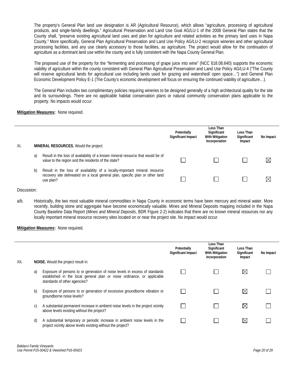The property's General Plan land use designation is AR (Agricultural Resource), which allows "agriculture, processing of agricultural products, and single-family dwellings." Agricultural Preservation and Land Use Goal AG/LU-1 of the 2008 General Plan states that the County shall, "preserve existing agricultural land uses and plan for agriculture and related activities as the primary land uses in Napa County." More specifically, General Plan Agricultural Preservation and Land Use Policy AG/LU-2 recognize wineries and other agricultural processing facilities, and any use clearly accessory to those facilities, as agriculture. The project would allow for the continuation of agriculture as a dominant land use within the county and is fully consistent with the Napa County General Plan.

The proposed use of the property for the "fermenting and processing of grape juice into wine" (NCC §18.08.640) supports the economic viability of agriculture within the county consistent with General Plan Agricultural Preservation and Land Use Policy AG/LU-4 ("The County will reserve agricultural lands for agricultural use including lands used for grazing and watershed/ open space…") and General Plan Economic Development Policy E-1 (The County's economic development will focus on ensuring the continued viability of agriculture…).

The General Plan includes two complimentary policies requiring wineries to be designed generally of a high architectural quality for the site and its surroundings. There are no applicable habitat conservation plans or natural community conservation plans applicable to the property. No impacts would occur.

# **Mitigation Measures:** None required.

| XI. |    | MINERAL RESOURCES. Would the project:                                                                                                                                    | Potentially<br>Significant Impact | Less Than<br>Significant<br><b>With Mitigation</b><br>Incorporation | Less Than<br>Significant<br>Impact | No Impact   |
|-----|----|--------------------------------------------------------------------------------------------------------------------------------------------------------------------------|-----------------------------------|---------------------------------------------------------------------|------------------------------------|-------------|
|     | a) | Result in the loss of availability of a known mineral resource that would be of<br>value to the region and the residents of the state?                                   |                                   |                                                                     |                                    | $\times$    |
|     | b) | Result in the loss of availability of a locally-important mineral resource<br>recovery site delineated on a local general plan, specific plan or other land<br>use plan? |                                   |                                                                     |                                    | $\boxtimes$ |

### Discussion:

a/b. Historically, the two most valuable mineral commodities in Napa County in economic terms have been mercury and mineral water. More recently, building stone and aggregate have become economically valuable. Mines and Mineral Deposits mapping included in the Napa County Baseline Data Report (*Mines and Mineral Deposits*, BDR Figure 2-2) indicates that there are no known mineral resources nor any locally important mineral resource recovery sites located on or near the project site. No impact would occur.

|      |    |                                                                                                                                                                                        | Potentially<br><b>Significant Impact</b> | Less Than<br>Significant<br>With Mitigation<br>Incorporation | Less Than<br>Significant<br>Impact | No Impact |
|------|----|----------------------------------------------------------------------------------------------------------------------------------------------------------------------------------------|------------------------------------------|--------------------------------------------------------------|------------------------------------|-----------|
| XII. |    | NOISE. Would the project result in:                                                                                                                                                    |                                          |                                                              |                                    |           |
|      | a) | Exposure of persons to or generation of noise levels in excess of standards<br>established in the local general plan or noise ordinance, or applicable<br>standards of other agencies? |                                          |                                                              | $\boxtimes$                        |           |
|      | b) | Exposure of persons to or generation of excessive groundborne vibration or<br>groundborne noise levels?                                                                                |                                          |                                                              | $\boxtimes$                        |           |
|      | C) | A substantial permanent increase in ambient noise levels in the project vicinity<br>above levels existing without the project?                                                         |                                          |                                                              | $\bowtie$                          |           |
|      | d) | A substantial temporary or periodic increase in ambient noise levels in the<br>project vicinity above levels existing without the project?                                             |                                          |                                                              | $\bowtie$                          |           |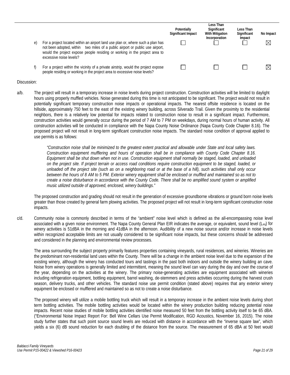| e) | For a project located within an airport land use plan or, where such a plan has<br>not been adopted, within two miles of a public airport or public use airport,<br>would the project expose people residing or working in the project area to<br>excessive noise levels? | Potentially<br><b>Significant Impact</b> | Less Than<br>Significant<br><b>With Mitigation</b><br>Incorporation | Less Than<br>Significant<br>Impact | No Impact |
|----|---------------------------------------------------------------------------------------------------------------------------------------------------------------------------------------------------------------------------------------------------------------------------|------------------------------------------|---------------------------------------------------------------------|------------------------------------|-----------|
|    | For a project within the vicinity of a private airstrip, would the project expose<br>people residing or working in the project area to excessive noise levels?                                                                                                            |                                          |                                                                     |                                    |           |

a/b. The project will result in a temporary increase in noise levels during project construction. Construction activities will be limited to daylight hours using properly muffled vehicles. Noise generated during this time is not anticipated to be significant. The project would not result in potentially significant temporary construction noise impacts or operational impacts. The nearest offsite residence is located on the hillside, approximately 750 feet to the east of the existing winery building, across Silverado Trail. Given the proximity to the residential neighbors, there is a relatively low potential for impacts related to construction noise to result in a significant impact. Furthermore, construction activities would generally occur during the period of 7 AM to 7 PM on weekdays, during normal hours of human activity. All construction activities will be conducted in compliance with the Napa County Noise Ordinance (Napa County Code Chapter 8.16). The proposed project will not result in long-term significant construction noise impacts. The standard noise condition of approval applied to use permits is as follows:

> *"Construction noise shall be minimized to the greatest extent practical and allowable under State and local safety laws. Construction equipment mufflering and hours of operation shall be in compliance with County Code Chapter 8.16. Equipment shall be shut down when not in use. Construction equipment shall normally be staged, loaded, and unloaded on the project site. If project terrain or access road conditions require construction equipment to be staged, loaded, or unloaded off the project site (such as on a neighboring road or at the base of a hill), such activities shall only occur between the hours of 8 AM to 5 PM. Exterior winery equipment shall be enclosed or muffled and maintained so as not to create a noise disturbance in accordance with the County Code. There shall be no amplified sound system or amplified music utilized outside of approved, enclosed, winery buildings."*

The proposed construction and grading should not result in the generation of excessive groundborne vibrations or ground born noise levels greater than those created by general farm plowing activities. The proposed project will not result in long-term significant construction noise impacts.

c/d. Community noise is commonly described in terms of the "ambient" noise level which is defined as the all-encompassing noise level associated with a given noise environment. The Napa County General Plan EIR indicates the average, or equivalent, sound level  $(L_{eq})$  for winery activities is 51dBA in the morning and 41dBA in the afternoon. Audibility of a new noise source and/or increase in noise levels within recognized acceptable limits are not usually considered to be significant noise impacts, but these concerns should be addressed and considered in the planning and environmental review processes.

The area surrounding the subject property primarily features properties containing vineyards, rural residences, and wineries. Wineries are the predominant non-residential land uses within the County. There will be a change in the ambient noise level due to the expansion of the existing winery, although the winery has conducted tours and tastings in the past both indoors and outside the winery building an cave. Noise from winery operations is generally limited and intermittent, meaning the sound level can vary during the day and over the course of the year, depending on the activities at the winery. The primary noise-generating activities are equipment associated with wineries including refrigeration equipment, bottling equipment, barrel washing, de-stemmers and press activities occurring during the harvest crush season, delivery trucks, and other vehicles. The standard noise use permit condition (stated above) requires that any exterior winery equipment be enclosed or mufflered and maintained so as not to create a noise disturbance.

The proposed winery will utilize a mobile bottling truck which will result in a temporary increase in the ambient noise levels during short term bottling activities. The mobile bottling activities would be located within the winery production building reducing potential noise impacts. Recent noise studies of mobile bottling activities identified noise measured 50 feet from the bottling activity itself to be 65 dBA. ("Environmental Noise Impact Report For: Bell Wine Cellars Use Permit Modification, RGD Acoustics, November 16, 2015). The noise study further states that such point source sound levels are reduced with distance in accordance with the "inverse square law", which yields a six (6) dB sound reduction for each doubling of the distance from the source. The measurement of 65 dBA at 50 feet would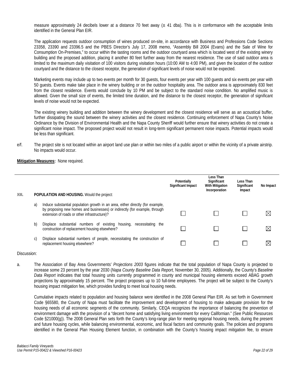measure approximately 24 decibels lower at a distance 70 feet away  $(± 41$  dba). This is in conformance with the acceptable limits identified in the General Plan EIR.

The application requests outdoor consumption of wines produced on-site, in accordance with Business and Professions Code Sections 23358, 23390 and 23396.5 and the PBES Director's July 17, 2008 memo, "Assembly Bill 2004 (Evans) and the Sale of Wine for Consumption On-Premises," to occur within the tasting rooms and the outdoor courtyard area which is located west of the existing winery building and the proposed addition, placing it another 80 feet further away from the nearest residence. The use of said outdoor area is limited to the maximum daily visitation of 100 visitors during visitation hours (10:00 AM to 4:00 PM), and given the location of the outdoor courtyard and the distance to the closest receptor, the generation of significant levels of noise would not be expected.

Marketing events may include up to two events per month for 30 guests, four events per year with 100 guests and six events per year with 50 guests. Events make take place in the winery building or on the outdoor hospitality area. The outdoor area is approximately 830 feet from the closest residence. Events would conclude by 10 PM and be subject to the standard noise condition. No amplified music is allowed. Given the small size of events, the limited time duration, and the distance to the closest receptor, the generation of significant levels of noise would not be expected.

The existing winery building and addition between the winery development and the closest residence will serve as an acoustical buffer, further dissipating the sound between the winery activities and the closest residence. Continuing enforcement of Napa County's Noise Ordinance by the Division of Environmental Health and the Napa County Sheriff would further ensure that winery activities do not create a significant noise impact. The proposed project would not result in long-term significant permanent noise impacts. Potential impacts would be less than significant.

e/f. The project site is not located within an airport land use plan or within two miles of a public airport or within the vicinity of a private airstrip. No impacts would occur.

### **Mitigation Measures:** None required.

| XIII. |    | <b>POPULATION AND HOUSING.</b> Would the project:                                                                                                                                                            | Potentially<br>Significant Impact | Less Than<br>Significant<br><b>With Mitigation</b><br>Incorporation | Less Than<br>Significant<br>Impact | No Impact   |
|-------|----|--------------------------------------------------------------------------------------------------------------------------------------------------------------------------------------------------------------|-----------------------------------|---------------------------------------------------------------------|------------------------------------|-------------|
|       | a) | Induce substantial population growth in an area, either directly (for example,<br>by proposing new homes and businesses) or indirectly (for example, through<br>extension of roads or other infrastructure)? |                                   |                                                                     |                                    | $\boxtimes$ |
|       | b) | Displace substantial numbers of existing housing, necessitating<br>the<br>construction of replacement housing elsewhere?                                                                                     |                                   |                                                                     |                                    | $\boxtimes$ |
|       | C) | Displace substantial numbers of people, necessitating the construction of<br>replacement housing elsewhere?                                                                                                  |                                   |                                                                     |                                    | $\boxtimes$ |

### Discussion:

a. The Association of Bay Area Governments' *Projections 2003* figures indicate that the total population of Napa County is projected to increase some 23 percent by the year 2030 (*Napa County Baseline Data Report,* November 30, 2005). Additionally, the County's *Baseline Data Report* indicates that total housing units currently programmed in county and municipal housing elements exceed ABAG growth projections by approximately 15 percent. The project proposes up to 10 full-time employees. The project will be subject to the County's housing impact mitigation fee, which provides funding to meet local housing needs.

Cumulative impacts related to population and housing balance were identified in the 2008 General Plan EIR. As set forth in Government Code §65580, the County of Napa must facilitate the improvement and development of housing to make adequate provision for the housing needs of all economic segments of the community. Similarly, CEQA recognizes the importance of balancing the prevention of environment damage with the provision of a "decent home and satisfying living environment for every Californian." (See Public Resources Code §21000(g)). The 2008 General Plan sets forth the County's long-range plan for meeting regional housing needs, during the present and future housing cycles, while balancing environmental, economic, and fiscal factors and community goals. The policies and programs identified in the General Plan Housing Element function, in combination with the County's housing impact mitigation fee, to ensure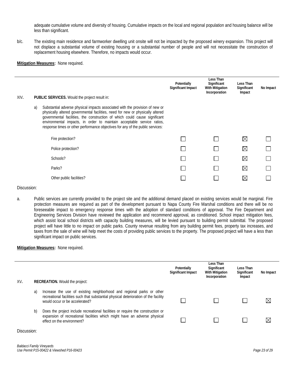adequate cumulative volume and diversity of housing. Cumulative impacts on the local and regional population and housing balance will be less than significant.

b/c. The existing main residence and farmworker dwelling unit onsite will not be impacted by the proposed winery expansion. This project will not displace a substantial volume of existing housing or a substantial number of people and will not necessitate the construction of replacement housing elsewhere. Therefore, no impacts would occur.

### **Mitigation Measures:** None required.

|      |    |                                                                                                                                                                                                                                                                                                                                                                                                          | Potentially<br>Significant Impact | <b>Less Than</b><br>Significant<br><b>With Mitigation</b><br>Incorporation | Less Than<br>Significant<br>Impact | No Impact |
|------|----|----------------------------------------------------------------------------------------------------------------------------------------------------------------------------------------------------------------------------------------------------------------------------------------------------------------------------------------------------------------------------------------------------------|-----------------------------------|----------------------------------------------------------------------------|------------------------------------|-----------|
| XIV. |    | <b>PUBLIC SERVICES.</b> Would the project result in:                                                                                                                                                                                                                                                                                                                                                     |                                   |                                                                            |                                    |           |
|      | a) | Substantial adverse physical impacts associated with the provision of new or<br>physically altered governmental facilities, need for new or physically altered<br>governmental facilities, the construction of which could cause significant<br>environmental impacts, in order to maintain acceptable service ratios,<br>response times or other performance objectives for any of the public services: |                                   |                                                                            |                                    |           |
|      |    | Fire protection?                                                                                                                                                                                                                                                                                                                                                                                         |                                   |                                                                            | $\boxtimes$                        |           |
|      |    | Police protection?                                                                                                                                                                                                                                                                                                                                                                                       |                                   |                                                                            | $\boxtimes$                        |           |
|      |    | Schools?                                                                                                                                                                                                                                                                                                                                                                                                 |                                   |                                                                            | $\boxtimes$                        |           |
|      |    | Parks?                                                                                                                                                                                                                                                                                                                                                                                                   |                                   |                                                                            | $\boxtimes$                        |           |
|      |    | Other public facilities?                                                                                                                                                                                                                                                                                                                                                                                 |                                   |                                                                            | $\boxtimes$                        |           |
|      |    |                                                                                                                                                                                                                                                                                                                                                                                                          |                                   |                                                                            |                                    |           |

### Discussion:

a. Public services are currently provided to the project site and the additional demand placed on existing services would be marginal. Fire protection measures are required as part of the development pursuant to Napa County Fire Marshal conditions and there will be no foreseeable impact to emergency response times with the adoption of standard conditions of approval. The Fire Department and Engineering Services Division have reviewed the application and recommend approval, as conditioned. School impact mitigation fees, which assist local school districts with capacity building measures, will be levied pursuant to building permit submittal. The proposed project will have little to no impact on public parks. County revenue resulting from any building permit fees, property tax increases, and taxes from the sale of wine will help meet the costs of providing public services to the property. The proposed project will have a less than significant impact on public services.

### **Mitigation Measures:** None required.

| XV. |    | <b>RECREATION.</b> Would the project:                                                                                                                                                           | Potentially<br>Significant Impact | Less Than<br>Significant<br><b>With Mitigation</b><br>Incorporation | Less Than<br>Significant<br>Impact | No Impact |
|-----|----|-------------------------------------------------------------------------------------------------------------------------------------------------------------------------------------------------|-----------------------------------|---------------------------------------------------------------------|------------------------------------|-----------|
|     | a) | Increase the use of existing neighborhood and regional parks or other<br>recreational facilities such that substantial physical deterioration of the facility<br>would occur or be accelerated? |                                   |                                                                     |                                    | ⊠         |
|     | b) | Does the project include recreational facilities or require the construction or<br>expansion of recreational facilities which might have an adverse physical<br>effect on the environment?      |                                   |                                                                     |                                    | X         |
|     |    |                                                                                                                                                                                                 |                                   |                                                                     |                                    |           |

### Discussion: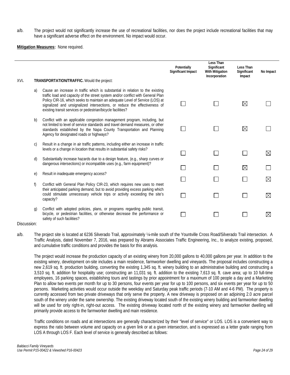a/b. The project would not significantly increase the use of recreational facilities, nor does the project include recreational facilities that may have a significant adverse effect on the environment. No impact would occur.

**Mitigation Measures:** None required.

|      |    |                                                                                                                                                                                                                                                                                                                                                                                               | Potentially<br><b>Significant Impact</b> | Less Than<br>Significant<br><b>With Mitigation</b><br>Incorporation | Less Than<br>Significant<br>Impact | No Impact   |
|------|----|-----------------------------------------------------------------------------------------------------------------------------------------------------------------------------------------------------------------------------------------------------------------------------------------------------------------------------------------------------------------------------------------------|------------------------------------------|---------------------------------------------------------------------|------------------------------------|-------------|
| XVI. |    | TRANSPORTATION/TRAFFIC. Would the project:                                                                                                                                                                                                                                                                                                                                                    |                                          |                                                                     |                                    |             |
|      | a) | Cause an increase in traffic which is substantial in relation to the existing<br>traffic load and capacity of the street system and/or conflict with General Plan<br>Policy CIR-16, which seeks to maintain an adequate Level of Service (LOS) at<br>signalized and unsignalized intersections, or reduce the effectiveness of<br>existing transit services or pedestrian/bicycle facilities? |                                          |                                                                     | $\boxtimes$                        |             |
|      | b) | Conflict with an applicable congestion management program, including, but<br>not limited to level of service standards and travel demand measures, or other<br>standards established by the Napa County Transportation and Planning<br>Agency for designated roads or highways?                                                                                                               |                                          |                                                                     | $\boxtimes$                        |             |
|      | C) | Result in a change in air traffic patterns, including either an increase in traffic<br>levels or a change in location that results in substantial safety risks?                                                                                                                                                                                                                               |                                          |                                                                     |                                    | $\boxtimes$ |
|      | d) | Substantially increase hazards due to a design feature, (e.g., sharp curves or<br>dangerous intersections) or incompatible uses (e.g., farm equipment)?                                                                                                                                                                                                                                       |                                          |                                                                     | $\boxtimes$                        |             |
|      | e) | Result in inadequate emergency access?                                                                                                                                                                                                                                                                                                                                                        |                                          |                                                                     |                                    |             |
|      | f) | Conflict with General Plan Policy CIR-23, which requires new uses to meet                                                                                                                                                                                                                                                                                                                     |                                          |                                                                     |                                    | $\boxtimes$ |
|      |    | their anticipated parking demand, but to avoid providing excess parking which<br>could stimulate unnecessary vehicle trips or activity exceeding the site's<br>capacity?                                                                                                                                                                                                                      |                                          |                                                                     |                                    | $\boxtimes$ |
|      | g) | Conflict with adopted policies, plans, or programs regarding public transit,<br>bicycle, or pedestrian facilities, or otherwise decrease the performance or<br>safety of such facilities?                                                                                                                                                                                                     |                                          |                                                                     |                                    | $\boxtimes$ |

### Discussion:

a/b. The project site is located at 6236 Silverado Trail, approximately ¼-mile south of the Yountville Cross Road/Silverado Trail intersection. A Traffic Analysis, dated November 7, 2016, was prepared by Abrams Associates Traffic Engineering, Inc., to analyze existing, proposed, and cumulative traffic conditions and provides the basis for this analysis.

The project would increase the production capacity of an existing winery from 20,000 gallons to 40,000 gallons per year. In addition to the existing winery, development on-site includes a main residence, farmworker dwelling and vineyards. The proposal includes constructing a new 2,619 sq. ft. production building, converting the existing 1,345 sq. ft. winery building to an administrative building and constructing a 3,510 sq. ft. addition for hospitality use; constructing an 11,031 sq. ft. addition to the existing 7,613 sq. ft. cave area; up to 10 full-time employees, 16 parking spaces, establishing tours and tastings by prior appointment for a maximum of 100 people a day and a Marketing Plan to allow two events per month for up to 30 persons, four events per year for up to 100 persons, and six events per year for up to 50 persons. Marketing activities would occur outside the weekday and Saturday peak traffic periods (7-10 AM and 4-6 PM). The property is currently accessed from two private driveways that only serve the property. A new driveway is proposed on an adjoining 2.0 acre parcel south of the winery under the same ownership. The existing driveway located south of the existing winery building and farmworker dwelling will be used for only right-in, right-out access. The existing driveway located north of the existing winery and farmworker dwelling will primarily provide access to the farmworker dwelling and main residence.

Traffic conditions on roads and at intersections are generally characterized by their "level of service" or LOS. LOS is a convenient way to express the ratio between volume and capacity on a given link or at a given intersection, and is expressed as a letter grade ranging from LOS A through LOS F. Each level of service is generally described as follows: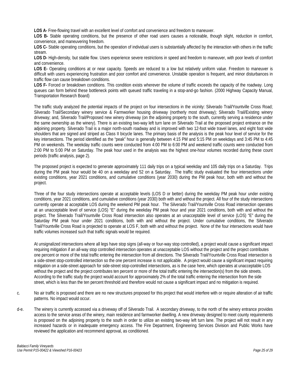**LOS A-** Free-flowing travel with an excellent level of comfort and convenience and freedom to maneuver.

LOS B- Stable operating conditions, but the presence of other road users causes a noticeable, though slight, reduction in comfort, convenience, and maneuvering freedom.

**LOS C-** Stable operating conditions, but the operation of individual users is substantially affected by the interaction with others in the traffic stream.

**LOS D-** High-density, but stable flow. Users experience severe restrictions in speed and freedom to maneuver, with poor levels of comfort and convenience.

**LOS E-** Operating conditions at or near capacity. Speeds are reduced to a low but relatively uniform value. Freedom to maneuver is difficult with users experiencing frustration and poor comfort and convenience. Unstable operation is frequent, and minor disturbances in traffic flow can cause breakdown conditions.

**LOS F-** Forced or breakdown conditions. This condition exists wherever the volume of traffic exceeds the capacity of the roadway. Long queues can form behind these bottleneck points with queued traffic traveling in a stop-and-go fashion. (2000 Highway Capacity Manual, Transportation Research Board)

The traffic study analyzed the potential impacts of the project on four intersections in the vicinity: Silverado Trail/Yountville Cross Road; Silverado Trail/Secondary winery service & Farmworker housing driveway (northerly most driveway); Silverado Trail/Existing winery driveway; and, Silverado Trail/Proposed new winery driveway (on the adjoining property to the south, currently serving a residence under the same ownership as the winery). There is an existing two-way left turn lane on Silverado Trail at the proposed project entrance on the adjoining property. Silverado Trail is a major north-south roadway and is improved with two 12-foot wide travel lanes, and eight foot wide shoulders that are signed and striped as Class II bicycle lanes. The primary basis of the analysis is the peak hour level of service for the key intersections. The period identified as the "peak" hour is generally between 4:15 PM and 5:15 PM on weekdays and 3:45 PM to 4:45 PM on weekends. The weekday traffic counts were conducted from 4:00 PM to 6:00 PM and weekend traffic counts were conducted from 2:00 PM to 5:00 PM on Saturday. The peak hour used in the analysis was the highest one-hour volumes recorded during these count periods (traffic analysis, page 2).

The proposed project is expected to generate approximately 111 daily trips on a typical weekday and 105 daily trips on a Saturday. Trips during the PM peak hour would be 40 on a weekday and 52 on a Saturday. The traffic study evaluated the four intersections under existing conditions, year 2021 conditions, and cumulative conditions (year 2030) during the PM peak hour, both with and without the project.

Three of the four study intersections operate at acceptable levels (LOS D or better) during the weekday PM peak hour under existing conditions, year 2021 conditions, and cumulative conditions (year 2030) both with and without the project. All four of the study intersections currently operate at acceptable LOS during the weekend PM peak hour. The Silverado Trail/Yountville Cross Road intersection operates at an unacceptable level of service (LOS) "E" during the weekday PM peak hour and year 2021 conditions, both with and without the project. The Silverado Trail/Yountville Cross Road intersection also operates at an unacceptable level of service (LOS) "E" during the Saturday PM peak hour under 2021 conditions, both with and without the project. Under cumulative conditions, the Silverado Trail/Yountville Cross Road is projected to operate at LOS F, both with and without the project. None of the four intersections would have traffic volumes increased such that traffic signals would be required.

At unsignalized intersections where all legs have stop signs (all-way or four-way stop controlled), a project would cause a significant impact requiring mitigation if an all-way stop controlled intersection operates at unacceptable LOS without the project and the project contributes one percent or more of the total traffic entering the intersection from all directions. The Silverado Trail/Yountville Cross Road intersection is a side-street stop-controlled intersection so the one percent increase is not applicable. A project would cause a significant impact requiring mitigation on a side-street approach for side-street stop-controlled intersections, as is the case here, which operates at unacceptable LOS without the project and the project contributes ten percent or more of the total traffic entering the intersection(s) from the side streets. According to the traffic study the project would account for approximately 2% of the total traffic entering the intersection from the side street, which is less than the ten percent threshold and therefore would not cause a significant impact and no mitigation is required.

- c. No air traffic is proposed and there are no new structures proposed for this project that would interfere with or require alteration of air traffic patterns. No impact would occur.
- d-e. The winery is currently accessed via a driveway off of Silverado Trail. A secondary driveway, to the north of the winery entrance provides access to the service areas of the winery, main residence and farmworker dwelling. A new driveway designed to meet county requirements is proposed on the adjoining property to the south in order to utilize an existing two-way left turn lane. The project will not result in any increased hazards or in inadequate emergency access. The Fire Department, Engineering Services Division and Public Works have reviewed the application and recommend approval, as conditioned.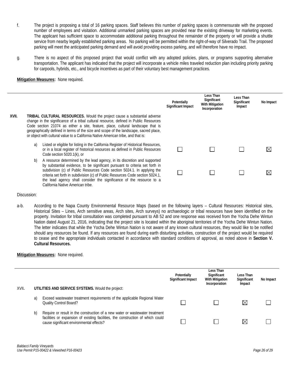- f. The project is proposing a total of 16 parking spaces. Staff believes this number of parking spaces is commensurate with the proposed number of employees and visitation. Additional unmarked parking spaces are provided near the existing driveway for marketing events. The applicant has sufficient space to accommodate additional parking throughout the remainder of the property or will provide a shuttle service from nearby legally established parking areas. No parking will be permitted within the right-of-way of Silverado Trail. The proposed parking will meet the anticipated parking demand and will avoid providing excess parking, and will therefore have no impact.
- g. There is no aspect of this proposed project that would conflict with any adopted policies, plans, or programs supporting alternative transportation. The applicant has indicated that the project will incorporate a vehicle miles traveled reduction plan including priority parking for carpools, hybrids, etc., and bicycle incentives as part of their voluntary best management practices.

**Mitigation Measures:** None required.

|       |    |                                                                                                                                                                                                                                                                                                                                                                                                                                           | Potentially<br>Significant Impact | Less Than<br>Significant<br><b>With Mitigation</b><br>Incorporation | Less Than<br>Significant<br>Impact | No Impact   |
|-------|----|-------------------------------------------------------------------------------------------------------------------------------------------------------------------------------------------------------------------------------------------------------------------------------------------------------------------------------------------------------------------------------------------------------------------------------------------|-----------------------------------|---------------------------------------------------------------------|------------------------------------|-------------|
| XVII. |    | <b>TRIBAL CULTURAL RESOURCES.</b> Would the project cause a substantial adverse<br>change in the significance of a tribal cultural resource, defined in Public Resources<br>Code section 21074 as either a site, feature, place, cultural landscape that is<br>geographically defined in terms of the size and scope of the landscape, sacred place,<br>or object with cultural value to a California Native American tribe, and that is: |                                   |                                                                     |                                    |             |
|       | a) | Listed or eligible for listing in the California Register of Historical Resources,<br>or in a local register of historical resources as defined in Public Resources<br>Code section $5020.1(k)$ , or                                                                                                                                                                                                                                      |                                   |                                                                     |                                    | $\boxtimes$ |
|       | b) | A resource determined by the lead agency, in its discretion and supported<br>by substantial evidence, to be significant pursuant to criteria set forth in<br>subdivision (c) of Public Resources Code section 5024.1. In applying the<br>criteria set forth in subdivision (c) of Public Resources Code section 5024.1,<br>the lead agency shall consider the significance of the resource to a<br>California Native American tribe.      |                                   |                                                                     |                                    | $\bowtie$   |

### Discussion:

a-b. According to the Napa County Environmental Resource Maps (based on the following layers – Cultural Resources: Historical sites, Historical Sites – Lines, Arch sensitive areas, Arch sites, Arch surveys) no archaeologic or tribal resources have been identified on the property. Invitation for tribal consultation was completed pursuant to AB 52 and one response was received from the Yocha Dehe Wintun Nation dated August 21, 2016, indicating that the project site is located within the aboriginal territories of the Yocha Dehe Wintun Nation. The letter indicates that while the Yocha Dehe Wintun Nation is not aware of any known cultural resources, they would like to be notified should any resources be found. If any resources are found during earth disturbing activities, construction of the project would be required to cease and the appropriate individuals contacted in accordance with standard conditions of approval, as noted above in **Section V. Cultural Resources.**

| XVII. |    | UTILITIES AND SERVICE SYSTEMS. Would the project:                                                                                                                                                           | Potentially<br>Significant Impact | Less Than<br>Significant<br><b>With Mitigation</b><br>Incorporation | Less Than<br>Significant<br>Impact | No Impact |
|-------|----|-------------------------------------------------------------------------------------------------------------------------------------------------------------------------------------------------------------|-----------------------------------|---------------------------------------------------------------------|------------------------------------|-----------|
|       | a) | Exceed wastewater treatment requirements of the applicable Regional Water<br><b>Quality Control Board?</b>                                                                                                  |                                   |                                                                     | $\bowtie$                          |           |
|       | b) | Require or result in the construction of a new water or wastewater treatment<br>facilities or expansion of existing facilities, the construction of which could<br>cause significant environmental effects? |                                   |                                                                     | M                                  |           |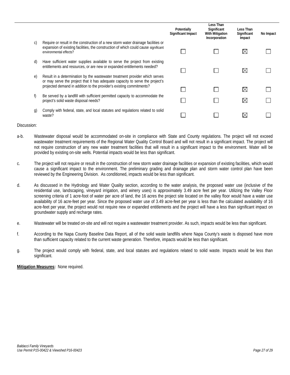|    |                                                                                                                                                                                                                                      | Potentially<br>Significant Impact | Less Than<br>Significant<br><b>With Mitigation</b><br>Incorporation | Less Than<br>Significant<br>Impact | No Impact |
|----|--------------------------------------------------------------------------------------------------------------------------------------------------------------------------------------------------------------------------------------|-----------------------------------|---------------------------------------------------------------------|------------------------------------|-----------|
| C) | Require or result in the construction of a new storm water drainage facilities or<br>expansion of existing facilities, the construction of which could cause significant<br>environmental effects?                                   |                                   |                                                                     | ⋉                                  |           |
| d) | Have sufficient water supplies available to serve the project from existing<br>entitlements and resources, or are new or expanded entitlements needed?                                                                               |                                   |                                                                     | $\boxtimes$                        |           |
| e) | Result in a determination by the wastewater treatment provider which serves<br>or may serve the project that it has adequate capacity to serve the project's<br>projected demand in addition to the provider's existing commitments? |                                   |                                                                     | $\boxtimes$                        |           |
|    |                                                                                                                                                                                                                                      |                                   |                                                                     |                                    |           |
| f) | Be served by a landfill with sufficient permitted capacity to accommodate the<br>project's solid waste disposal needs?                                                                                                               |                                   |                                                                     | $\boxtimes$                        |           |
| g) | Comply with federal, state, and local statutes and regulations related to solid<br>waste?                                                                                                                                            |                                   |                                                                     |                                    |           |
|    |                                                                                                                                                                                                                                      |                                   |                                                                     |                                    |           |

- a-b. Wastewater disposal would be accommodated on-site in compliance with State and County regulations. The project will not exceed wastewater treatment requirements of the Regional Water Quality Control Board and will not result in a significant impact. The project will not require construction of any new water treatment facilities that will result in a significant impact to the environment. Water will be provided by existing on-site wells. Potential impacts would be less than significant.
- c. The project will not require or result in the construction of new storm water drainage facilities or expansion of existing facilities, which would cause a significant impact to the environment. The preliminary grading and drainage plan and storm water control plan have been reviewed by the Engineering Division. As conditioned, impacts would be less than significant.
- d. As discussed in the Hydrology and Water Quality section, according to the water analysis, the proposed water use (inclusive of the residential use, landscaping, vineyard irrigation, and winery uses) is approximately 3.49 acre feet per year. Utilizing the Valley Floor screening criteria of 1 acre-foot of water per acre of land, the 16 acres the project site located on the valley floor would have a water use availability of 16 acre-feet per year. Since the proposed water use of 3.49 acre-feet per year is less than the calculated availability of 16 acre-feet per year, the project would not require new or expanded entitlements and the project will have a less than significant impact on groundwater supply and recharge rates.
- e. Wastewater will be treated on-site and will not require a wastewater treatment provider. As such, impacts would be less than significant.
- f. According to the Napa County Baseline Data Report, all of the solid waste landfills where Napa County's waste is disposed have more than sufficient capacity related to the current waste generation. Therefore, impacts would be less than significant.
- g. The project would comply with federal, state, and local statutes and regulations related to solid waste. Impacts would be less than significant.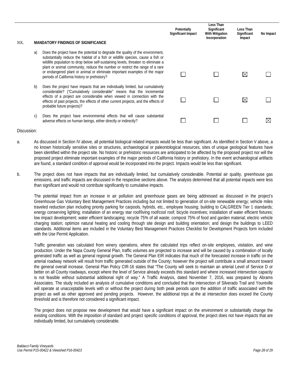| XIX. |    | <b>MANDATORY FINDINGS OF SIGNIFICANCE</b>                                                                                                                                                                                                                                                                                                                                                                                                                            | Potentially<br>Significant Impact | Less Than<br>Significant<br><b>With Mitigation</b><br>Incorporation | Less Than<br>Significant<br>Impact | No Impact |
|------|----|----------------------------------------------------------------------------------------------------------------------------------------------------------------------------------------------------------------------------------------------------------------------------------------------------------------------------------------------------------------------------------------------------------------------------------------------------------------------|-----------------------------------|---------------------------------------------------------------------|------------------------------------|-----------|
|      | a) | Does the project have the potential to degrade the quality of the environment,<br>substantially reduce the habitat of a fish or wildlife species, cause a fish or<br>wildlife population to drop below self-sustaining levels, threaten to eliminate a<br>plant or animal community, reduce the number or restrict the range of a rare<br>or endangered plant or animal or eliminate important examples of the major<br>periods of California history or prehistory? |                                   |                                                                     | ⊠                                  |           |
|      | b) | Does the project have impacts that are individually limited, but cumulatively<br>considerable? ("Cumulatively considerable" means that the incremental<br>effects of a project are considerable when viewed in connection with the<br>effects of past projects, the effects of other current projects, and the effects of<br>probable future projects)?                                                                                                              |                                   |                                                                     | ⊠                                  |           |
|      | C) | Does the project have environmental effects that will cause substantial<br>adverse effects on human beings, either directly or indirectly?                                                                                                                                                                                                                                                                                                                           |                                   |                                                                     |                                    |           |

- a. As discussed in Section IV above, all potential biological related impacts would be less than significant. As identified in Section V above, a no known historically sensitive sites or structures, archaeological or paleontological resources, sites of unique geological features have been identified within the project site. No historic or prehistoric resources are anticipated to be affected by the proposed project nor will the proposed project eliminate important examples of the major periods of California history or prehistory. In the event archaeological artifacts are found, a standard condition of approval would be incorporated into the project. Impacts would be less than significant.
- b. The project does not have impacts that are individually limited, but cumulatively considerable. Potential air quality, greenhouse gas emissions, and traffic impacts are discussed in the respective sections above. The analysis determined that all potential impacts were less than significant and would not contribute significantly to cumulative impacts.

The potential impact from an increase in air pollution and greenhouse gases are being addressed as discussed in the project's Greenhouse Gas Voluntary Best Management Practices including but not limited to generation of on-site renewable energy; vehicle miles traveled reduction plan including priority parking for carpools, hybrids, etc., employee housing; building to CALGREEN Tier 1 standards; energy conserving lighting; installation of an energy star roof/living roof/cool roof; bicycle incentives; installation of water efficient fixtures; low impact development; water efficient landscaping; recycle 75% of all waste; compost 75% of food and garden material; electric vehicle charging station; optimize natural heating and cooling through site design and building orientation; and design the buildings to LEED standards. Additional items are included in the Voluntary Best Management Practices Checklist for Development Projects form included with the Use Permit Application.

Traffic generation was calculated from winery operations, where the calculated trips reflect on-site employees, visitation, and wine production. Under the Napa County General Plan, traffic volumes are projected to increase and will be caused by a combination of locally generated traffic as well as general regional growth. The General Plan EIR indicates that much of the forecasted increase in traffic on the arterial roadway network will result from traffic generated outside of the County; however the project will contribute a small amount toward the general overall increase. General Plan Policy CIR-16 states that "The County will seek to maintain an arterial Level of Service D or better on all County roadways, except where the level of Service already exceeds this standard and where increased intersection capacity is not feasible without substantial additional right of way." A Traffic Analysis, dated November 7, 2016, was prepared by Abrams Associates. The study included an analysis of cumulative conditions and concluded that the intersection of Silverado Trail and Yountville will operate at unacceptable levels with or without the project during both peak periods upon the addition of traffic associated with the project as well as other approved and pending projects. However, the additional trips at the at intersection does exceed the County threshold and is therefore not considered a significant impact.

The project does not propose new development that would have a significant impact on the environment or substantially change the existing conditions. With the imposition of standard and project specific conditions of approval, the project does not have impacts that are individually limited, but cumulatively considerable.